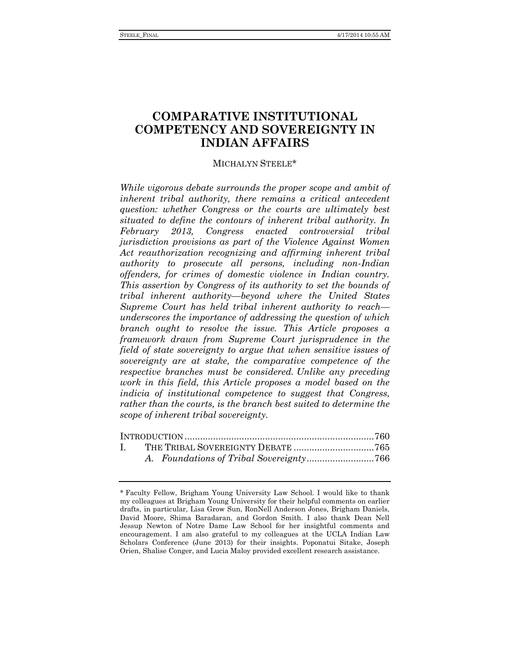# **COMPARATIVE INSTITUTIONAL COMPETENCY AND SOVEREIGNTY IN INDIAN AFFAIRS**

## MICHALYN STEELE\*

*While vigorous debate surrounds the proper scope and ambit of inherent tribal authority, there remains a critical antecedent question: whether Congress or the courts are ultimately best situated to define the contours of inherent tribal authority. In February 2013, Congress enacted controversial tribal jurisdiction provisions as part of the Violence Against Women Act reauthorization recognizing and affirming inherent tribal authority to prosecute all persons, including non-Indian offenders, for crimes of domestic violence in Indian country. This assertion by Congress of its authority to set the bounds of tribal inherent authority—beyond where the United States Supreme Court has held tribal inherent authority to reach underscores the importance of addressing the question of which branch ought to resolve the issue. This Article proposes a framework drawn from Supreme Court jurisprudence in the field of state sovereignty to argue that when sensitive issues of sovereignty are at stake, the comparative competence of the respective branches must be considered. Unlike any preceding work in this field, this Article proposes a model based on the indicia of institutional competence to suggest that Congress, rather than the courts, is the branch best suited to determine the scope of inherent tribal sovereignty.*

<sup>\*</sup> Faculty Fellow, Brigham Young University Law School. I would like to thank my colleagues at Brigham Young University for their helpful comments on earlier drafts, in particular, Lisa Grow Sun, RonNell Anderson Jones, Brigham Daniels, David Moore, Shima Baradaran, and Gordon Smith. I also thank Dean Nell Jessup Newton of Notre Dame Law School for her insightful comments and encouragement. I am also grateful to my colleagues at the UCLA Indian Law Scholars Conference (June 2013) for their insights. Poponatui Sitake, Joseph Orien, Shalise Conger, and Lucia Maloy provided excellent research assistance.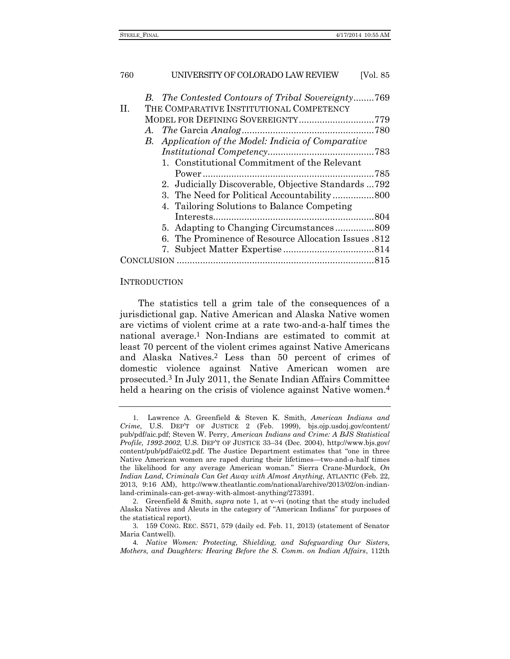|   | B. The Contested Contours of Tribal Sovereignty769         |  |
|---|------------------------------------------------------------|--|
| Π | THE COMPARATIVE INSTITUTIONAL COMPETENCY                   |  |
|   | MODEL FOR DEFINING SOVEREIGNTY779                          |  |
|   |                                                            |  |
|   | <b>B.</b> Application of the Model: Indicia of Comparative |  |
|   |                                                            |  |
|   | 1. Constitutional Commitment of the Relevant               |  |
|   |                                                            |  |
|   | 2. Judicially Discoverable, Objective Standards  792       |  |
|   |                                                            |  |
|   | 4. Tailoring Solutions to Balance Competing                |  |
|   |                                                            |  |
|   |                                                            |  |
|   | 6. The Prominence of Resource Allocation Issues .812       |  |
|   |                                                            |  |
|   |                                                            |  |
|   |                                                            |  |

#### INTRODUCTION

<span id="page-1-0"></span>The statistics tell a grim tale of the consequences of a jurisdictional gap. Native American and Alaska Native women are victims of violent crime at a rate two-and-a-half times the national average.1 Non-Indians are estimated to commit at least 70 percent of the violent crimes against Native Americans and Alaska Natives.2 Less than 50 percent of crimes of domestic violence against Native American women are prosecuted.3 In July 2011, the Senate Indian Affairs Committee held a hearing on the crisis of violence against Native women.<sup>4</sup>

<span id="page-1-1"></span><sup>1</sup>. Lawrence A. Greenfield & Steven K. Smith, *American Indians and Crime*, U.S. DEP'T OF JUSTICE 2 (Feb. 1999), bjs.ojp.usdoj.gov/content/ pub/pdf/aic.pdf; Steven W. Perry, *American Indians and Crime: A BJS Statistical Profile, 1992-2002*, U.S. DEP'T OF JUSTICE 33–34 (Dec. 2004), http://www.bjs.gov/ content/pub/pdf/aic02.pdf. The Justice Department estimates that "one in three Native American women are raped during their lifetimes—two-and-a-half times the likelihood for any average American woman." Sierra Crane-Murdock, *On Indian Land, Criminals Can Get Away with Almost Anything*, ATLANTIC (Feb. 22, 2013, 9:16 AM), http://www.theatlantic.com/national/archive/2013/02/on-indianland-criminals-can-get-away-with-almost-anything/273391.

<sup>2</sup>. Greenfield & Smith, *supra* note [1,](#page-1-0) at v–vi (noting that the study included Alaska Natives and Aleuts in the category of "American Indians" for purposes of the statistical report).

<sup>3</sup>. 159 CONG. REC. S571, 579 (daily ed. Feb. 11, 2013) (statement of Senator Maria Cantwell).

<sup>4</sup>*. Native Women: Protecting, Shielding, and Safeguarding Our Sisters, Mothers, and Daughters: Hearing Before the S. Comm. on Indian Affairs*, 112th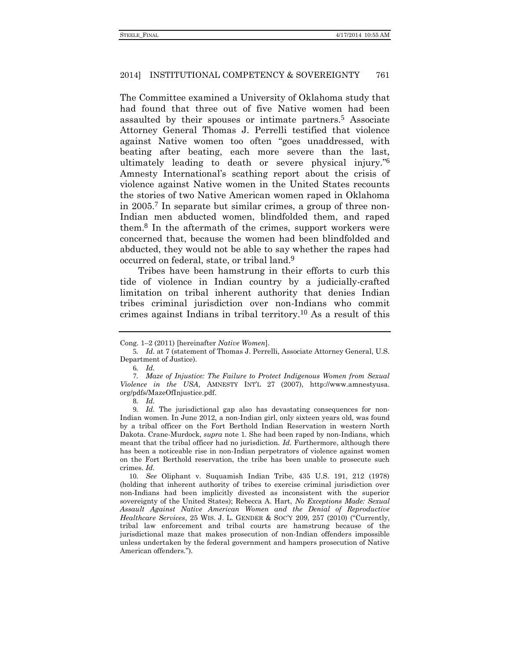The Committee examined a University of Oklahoma study that had found that three out of five Native women had been assaulted by their spouses or intimate partners.5 Associate Attorney General Thomas J. Perrelli testified that violence against Native women too often "goes unaddressed, with beating after beating, each more severe than the last, ultimately leading to death or severe physical injury." 6 Amnesty International's scathing report about the crisis of violence against Native women in the United States recounts the stories of two Native American women raped in Oklahoma in 2005.7 In separate but similar crimes, a group of three non-Indian men abducted women, blindfolded them, and raped them.8 In the aftermath of the crimes, support workers were concerned that, because the women had been blindfolded and abducted, they would not be able to say whether the rapes had occurred on federal, state, or tribal land.9

Tribes have been hamstrung in their efforts to curb this tide of violence in Indian country by a judicially-crafted limitation on tribal inherent authority that denies Indian tribes criminal jurisdiction over non-Indians who commit crimes against Indians in tribal territory.10 As a result of this

Cong. 1–2 (2011) [hereinafter *Native Women*].

<sup>5</sup>*. Id.* at 7 (statement of Thomas J. Perrelli, Associate Attorney General, U.S. Department of Justice).

<sup>6</sup>*. Id.*

<sup>7</sup>*. Maze of Injustice: The Failure to Protect Indigenous Women from Sexual Violence in the USA*, AMNESTY INT'L 27 (2007), http://www.amnestyusa. org/pdfs/MazeOfInjustice.pdf.

<sup>8</sup>*. Id.*

<sup>9</sup>*. Id.* The jurisdictional gap also has devastating consequences for non-Indian women. In June 2012, a non-Indian girl, only sixteen years old, was found by a tribal officer on the Fort Berthold Indian Reservation in western North Dakota. Crane-Murdock, *supra* note [1.](#page-1-0) She had been raped by non-Indians, which meant that the tribal officer had no jurisdiction. *Id.* Furthermore, although there has been a noticeable rise in non-Indian perpetrators of violence against women on the Fort Berthold reservation, the tribe has been unable to prosecute such crimes. *Id.*

<sup>10</sup>*. See* Oliphant v. Suquamish Indian Tribe, 435 U.S. 191, 212 (1978) (holding that inherent authority of tribes to exercise criminal jurisdiction over non-Indians had been implicitly divested as inconsistent with the superior sovereignty of the United States); Rebecca A. Hart, *No Exceptions Made: Sexual Assault Against Native American Women and the Denial of Reproductive Healthcare Services*, 25 WIS. J. L. GENDER & SOC'Y 209, 257 (2010) ("Currently, tribal law enforcement and tribal courts are hamstrung because of the jurisdictional maze that makes prosecution of non-Indian offenders impossible unless undertaken by the federal government and hampers prosecution of Native American offenders.").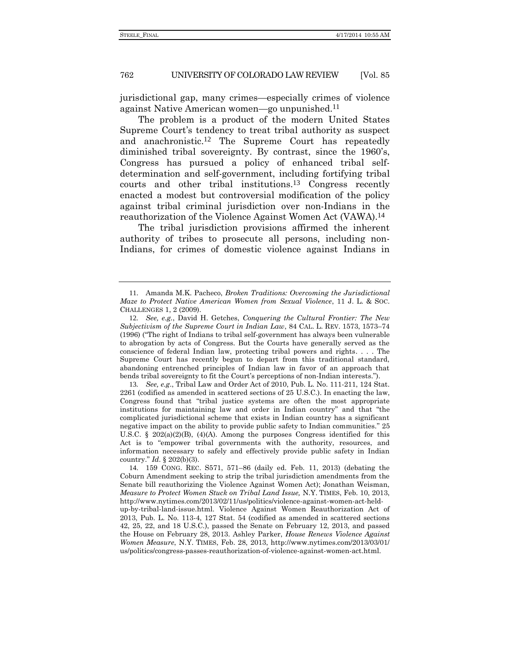jurisdictional gap, many crimes—especially crimes of violence against Native American women—go unpunished.11

<span id="page-3-1"></span>The problem is a product of the modern United States Supreme Court's tendency to treat tribal authority as suspect and anachronistic.12 The Supreme Court has repeatedly diminished tribal sovereignty. By contrast, since the 1960's, Congress has pursued a policy of enhanced tribal selfdetermination and self-government, including fortifying tribal courts and other tribal institutions.13 Congress recently enacted a modest but controversial modification of the policy against tribal criminal jurisdiction over non-Indians in the reauthorization of the Violence Against Women Act (VAWA).14

<span id="page-3-0"></span>The tribal jurisdiction provisions affirmed the inherent authority of tribes to prosecute all persons, including non-Indians, for crimes of domestic violence against Indians in

13*. See, e.g*., Tribal Law and Order Act of 2010, Pub. L. No. 111-211, 124 Stat. 2261 (codified as amended in scattered sections of 25 U.S.C.). In enacting the law, Congress found that "tribal justice systems are often the most appropriate institutions for maintaining law and order in Indian country" and that "the complicated jurisdictional scheme that exists in Indian country has a significant negative impact on the ability to provide public safety to Indian communities." 25 U.S.C.  $\S$  202(a)(2)(B), (4)(A). Among the purposes Congress identified for this Act is to "empower tribal governments with the authority, resources, and information necessary to safely and effectively provide public safety in Indian country." *Id*. § 202(b)(3).

14. 159 CONG. REC. S571, 571–86 (daily ed. Feb. 11, 2013) (debating the Coburn Amendment seeking to strip the tribal jurisdiction amendments from the Senate bill reauthorizing the Violence Against Women Act); Jonathan Weisman, *Measure to Protect Women Stuck on Tribal Land Issue,* N.Y. TIMES, Feb. 10, 2013, http://www.nytimes.com/2013/02/11/us/politics/violence-against-women-act-heldup-by-tribal-land-issue.html. Violence Against Women Reauthorization Act of 2013, Pub. L. No. 113-4, 127 Stat. 54 (codified as amended in scattered sections 42, 25, 22, and 18 U.S.C.), passed the Senate on February 12, 2013, and passed the House on February 28, 2013. Ashley Parker, *House Renews Violence Against Women Measure*, N.Y. TIMES, Feb. 28, 2013, http://www.nytimes.com/2013/03/01/ us/politics/congress-passes-reauthorization-of-violence-against-women-act.html.

<sup>11</sup>. Amanda M.K. Pacheco, *Broken Traditions: Overcoming the Jurisdictional Maze to Protect Native American Women from Sexual Violence*, 11 J. L. & SOC. CHALLENGES 1, 2 (2009).

<sup>12</sup>*. See, e.g.*, David H. Getches, *Conquering the Cultural Frontier: The New Subjectivism of the Supreme Court in Indian Law*, 84 CAL. L. REV. 1573, 1573–74 (1996) ("The right of Indians to tribal self-government has always been vulnerable to abrogation by acts of Congress. But the Courts have generally served as the conscience of federal Indian law, protecting tribal powers and rights. . . . The Supreme Court has recently begun to depart from this traditional standard, abandoning entrenched principles of Indian law in favor of an approach that bends tribal sovereignty to fit the Court's perceptions of non-Indian interests.").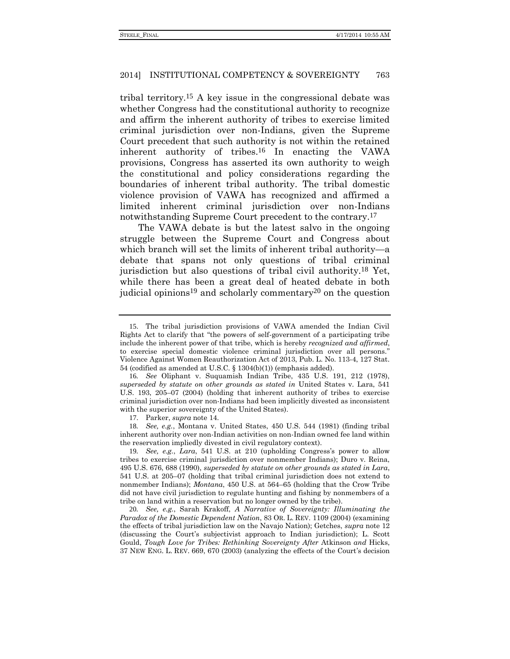tribal territory.15 A key issue in the congressional debate was whether Congress had the constitutional authority to recognize and affirm the inherent authority of tribes to exercise limited criminal jurisdiction over non-Indians, given the Supreme Court precedent that such authority is not within the retained inherent authority of tribes.16 In enacting the VAWA provisions, Congress has asserted its own authority to weigh the constitutional and policy considerations regarding the boundaries of inherent tribal authority. The tribal domestic violence provision of VAWA has recognized and affirmed a limited inherent criminal jurisdiction over non-Indians notwithstanding Supreme Court precedent to the contrary.<sup>17</sup>

The VAWA debate is but the latest salvo in the ongoing struggle between the Supreme Court and Congress about which branch will set the limits of inherent tribal authority—a debate that spans not only questions of tribal criminal jurisdiction but also questions of tribal civil authority.18 Yet, while there has been a great deal of heated debate in both judicial opinions<sup>19</sup> and scholarly commentary<sup>20</sup> on the question

17. Parker, *supra* note [14.](#page-3-0)

<sup>15</sup>. The tribal jurisdiction provisions of VAWA amended the Indian Civil Rights Act to clarify that "the powers of self-government of a participating tribe include the inherent power of that tribe, which is hereby *recognized and affirmed*, to exercise special domestic violence criminal jurisdiction over all persons." Violence Against Women Reauthorization Act of 2013, Pub. L. No. 113-4, 127 Stat. 54 (codified as amended at U.S.C. § 1304(b)(1)) (emphasis added).

<sup>16</sup>*. See* Oliphant v. Suquamish Indian Tribe, 435 U.S. 191, 212 (1978), *superseded by statute on other grounds as stated in* United States v. Lara, 541 U.S. 193, 205–07 (2004) (holding that inherent authority of tribes to exercise criminal jurisdiction over non-Indians had been implicitly divested as inconsistent with the superior sovereignty of the United States).

<sup>18</sup>*. See, e.g.*, Montana v. United States, 450 U.S. 544 (1981) (finding tribal inherent authority over non-Indian activities on non-Indian owned fee land within the reservation impliedly divested in civil regulatory context).

<sup>19</sup>*. See, e.g.*, *Lara*, 541 U.S. at 210 (upholding Congress's power to allow tribes to exercise criminal jurisdiction over nonmember Indians); Duro v. Reina, 495 U.S. 676, 688 (1990), *superseded by statute on other grounds as stated in Lara*, 541 U.S. at 205–07 (holding that tribal criminal jurisdiction does not extend to nonmember Indians); *Montana*, 450 U.S. at 564–65 (holding that the Crow Tribe did not have civil jurisdiction to regulate hunting and fishing by nonmembers of a tribe on land within a reservation but no longer owned by the tribe).

<sup>20</sup>*. See, e.g.*, Sarah Krakoff, *A Narrative of Sovereignty: Illuminating the Paradox of the Domestic Dependent Nation*, 83 OR. L. REV. 1109 (2004) (examining the effects of tribal jurisdiction law on the Navajo Nation); Getches, *supra* not[e 12](#page-3-1) (discussing the Court's subjectivist approach to Indian jurisdiction); L. Scott Gould, *Tough Love for Tribes: Rethinking Sovereignty After* Atkinson *and* Hicks, 37 NEW ENG. L. REV. 669, 670 (2003) (analyzing the effects of the Court's decision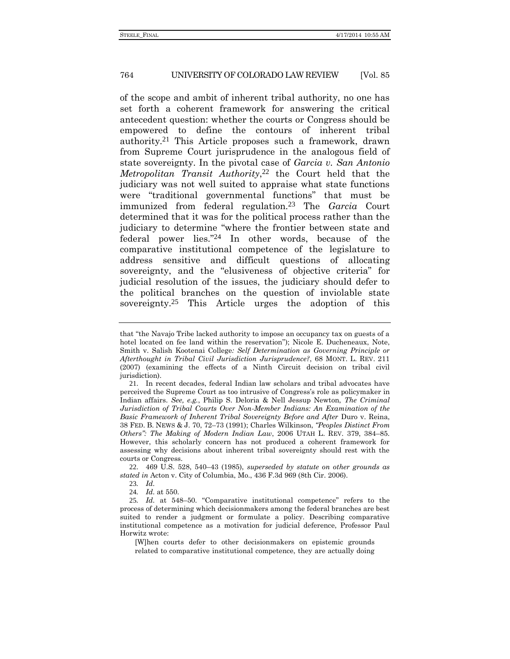<span id="page-5-0"></span>of the scope and ambit of inherent tribal authority, no one has set forth a coherent framework for answering the critical antecedent question: whether the courts or Congress should be empowered to define the contours of inherent tribal authority.21 This Article proposes such a framework, drawn from Supreme Court jurisprudence in the analogous field of state sovereignty. In the pivotal case of *Garcia v. San Antonio Metropolitan Transit Authority*, 22 the Court held that the judiciary was not well suited to appraise what state functions were "traditional governmental functions" that must be immunized from federal regulation.23 The *Garcia* Court determined that it was for the political process rather than the judiciary to determine "where the frontier between state and federal power lies." 24 In other words, because of the comparative institutional competence of the legislature to address sensitive and difficult questions of allocating sovereignty, and the "elusiveness of objective criteria" for judicial resolution of the issues, the judiciary should defer to the political branches on the question of inviolable state sovereignty.<sup>25</sup> This Article urges the adoption of this

22. 469 U.S. 528, 540–43 (1985), *superseded by statute on other grounds as stated in* Acton v. City of Columbia, Mo., 436 F.3d 969 (8th Cir. 2006).

23*. Id.*

24*. Id.* at 550.

[W]hen courts defer to other decisionmakers on epistemic grounds related to comparative institutional competence, they are actually doing

<span id="page-5-1"></span>that "the Navajo Tribe lacked authority to impose an occupancy tax on guests of a hotel located on fee land within the reservation"); Nicole E. Ducheneaux, Note, Smith v. Salish Kootenai College*: Self Determination as Governing Principle or Afterthought in Tribal Civil Jurisdiction Jurisprudence?*, 68 MONT. L. REV. 211 (2007) (examining the effects of a Ninth Circuit decision on tribal civil jurisdiction).

<sup>21</sup>. In recent decades, federal Indian law scholars and tribal advocates have perceived the Supreme Court as too intrusive of Congress's role as policymaker in Indian affairs. *See, e.g.*, Philip S. Deloria & Nell Jessup Newton, *The Criminal Jurisdiction of Tribal Courts Over Non-Member Indians: An Examination of the Basic Framework of Inherent Tribal Sovereignty Before and After* Duro v. Reina, 38 FED. B. NEWS & J. 70, 72–73 (1991); Charles Wilkinson, *"Peoples Distinct From Others": The Making of Modern Indian Law*, 2006 UTAH L. REV. 379, 384–85. However, this scholarly concern has not produced a coherent framework for assessing why decisions about inherent tribal sovereignty should rest with the courts or Congress.

<sup>25</sup>*. Id.* at 548–50. "Comparative institutional competence" refers to the process of determining which decisionmakers among the federal branches are best suited to render a judgment or formulate a policy. Describing comparative institutional competence as a motivation for judicial deference, Professor Paul Horwitz wrote: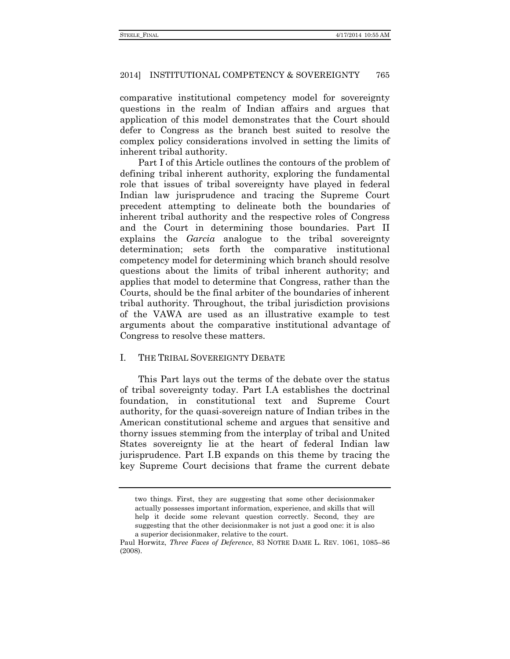comparative institutional competency model for sovereignty questions in the realm of Indian affairs and argues that application of this model demonstrates that the Court should defer to Congress as the branch best suited to resolve the complex policy considerations involved in setting the limits of inherent tribal authority.

Part I of this Article outlines the contours of the problem of defining tribal inherent authority, exploring the fundamental role that issues of tribal sovereignty have played in federal Indian law jurisprudence and tracing the Supreme Court precedent attempting to delineate both the boundaries of inherent tribal authority and the respective roles of Congress and the Court in determining those boundaries. Part II explains the *Garcia* analogue to the tribal sovereignty determination; sets forth the comparative institutional competency model for determining which branch should resolve questions about the limits of tribal inherent authority; and applies that model to determine that Congress, rather than the Courts, should be the final arbiter of the boundaries of inherent tribal authority. Throughout, the tribal jurisdiction provisions of the VAWA are used as an illustrative example to test arguments about the comparative institutional advantage of Congress to resolve these matters.

# I. THE TRIBAL SOVEREIGNTY DEBATE

This Part lays out the terms of the debate over the status of tribal sovereignty today. Part I.A establishes the doctrinal foundation, in constitutional text and Supreme Court authority, for the quasi-sovereign nature of Indian tribes in the American constitutional scheme and argues that sensitive and thorny issues stemming from the interplay of tribal and United States sovereignty lie at the heart of federal Indian law jurisprudence. Part I.B expands on this theme by tracing the key Supreme Court decisions that frame the current debate

two things. First, they are suggesting that some other decisionmaker actually possesses important information, experience, and skills that will help it decide some relevant question correctly. Second, they are suggesting that the other decisionmaker is not just a good one: it is also a superior decisionmaker, relative to the court.

Paul Horwitz, *Three Faces of Deference*, 83 NOTRE DAME L. REV. 1061, 1085–86 (2008).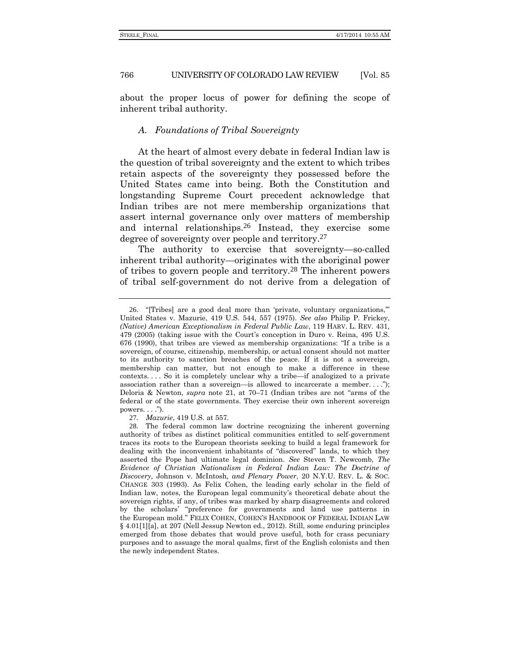766 UNIVERSITY OF COLORADO LAW REVIEW [Vol. 85

about the proper locus of power for defining the scope of inherent tribal authority.

### *A. Foundations of Tribal Sovereignty*

At the heart of almost every debate in federal Indian law is the question of tribal sovereignty and the extent to which tribes retain aspects of the sovereignty they possessed before the United States came into being. Both the Constitution and longstanding Supreme Court precedent acknowledge that Indian tribes are not mere membership organizations that assert internal governance only over matters of membership and internal relationships.26 Instead, they exercise some degree of sovereignty over people and territory.27

<span id="page-7-0"></span>The authority to exercise that sovereignty—so-called inherent tribal authority—originates with the aboriginal power of tribes to govern people and territory.28 The inherent powers of tribal self-government do not derive from a delegation of

27*. Mazurie*, 419 U.S. at 557.

<sup>26</sup>. "[Tribes] are a good deal more than 'private, voluntary organizations,'" United States v. Mazurie, 419 U.S. 544, 557 (1975). *See also* Philip P. Frickey, *(Native) American Exceptionalism in Federal Public Law*, 119 HARV. L. REV. 431, 479 (2005) (taking issue with the Court's conception in Duro v. Reina, 495 U.S. 676 (1990), that tribes are viewed as membership organizations: "If a tribe is a sovereign, of course, citizenship, membership, or actual consent should not matter to its authority to sanction breaches of the peace. If it is not a sovereign, membership can matter, but not enough to make a difference in these contexts. . . . So it is completely unclear why a tribe—if analogized to a private association rather than a sovereign—is allowed to incarcerate a member. . . ."); Deloria & Newton, *supra* note [21,](#page-5-0) at 70–71 (Indian tribes are not "arms of the federal or of the state governments. They exercise their own inherent sovereign powers.  $\ldots$ .").

<sup>28</sup>. The federal common law doctrine recognizing the inherent governing authority of tribes as distinct political communities entitled to self-government traces its roots to the European theorists seeking to build a legal framework for dealing with the inconvenient inhabitants of "discovered" lands, to which they asserted the Pope had ultimate legal dominion. *See* Steven T. Newcomb, *The Evidence of Christian Nationalism in Federal Indian Law: The Doctrine of Discovery,* Johnson v. McIntosh*, and Plenary Power*, 20 N.Y.U. REV. L. & SOC. CHANGE 303 (1993). As Felix Cohen, the leading early scholar in the field of Indian law, notes, the European legal community's theoretical debate about the sovereign rights, if any, of tribes was marked by sharp disagreements and colored by the scholars' "preference for governments and land use patterns in the European mold." FELIX COHEN, COHEN'S HANDBOOK OF FEDERAL INDIAN LAW § 4.01[1][a], at 207 (Nell Jessup Newton ed., 2012). Still, some enduring principles emerged from those debates that would prove useful, both for crass pecuniary purposes and to assuage the moral qualms, first of the English colonists and then the newly independent States.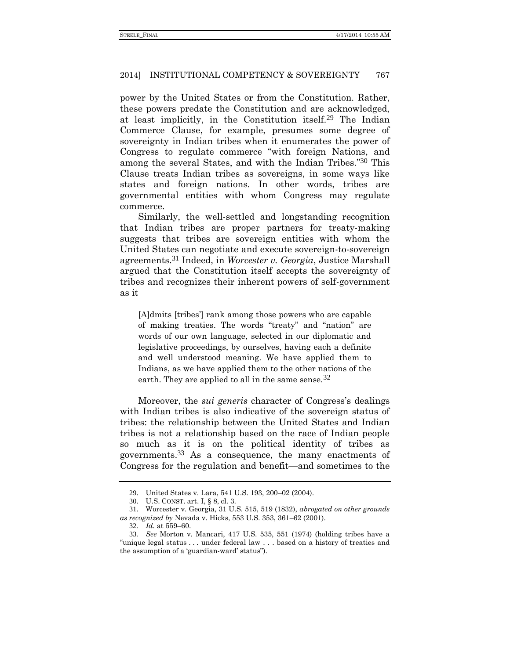power by the United States or from the Constitution. Rather, these powers predate the Constitution and are acknowledged, at least implicitly, in the Constitution itself.29 The Indian Commerce Clause, for example, presumes some degree of sovereignty in Indian tribes when it enumerates the power of Congress to regulate commerce "with foreign Nations, and among the several States, and with the Indian Tribes." 30 This Clause treats Indian tribes as sovereigns, in some ways like states and foreign nations. In other words, tribes are governmental entities with whom Congress may regulate commerce.

Similarly, the well-settled and longstanding recognition that Indian tribes are proper partners for treaty-making suggests that tribes are sovereign entities with whom the United States can negotiate and execute sovereign-to-sovereign agreements.31 Indeed, in *Worcester v. Georgia*, Justice Marshall argued that the Constitution itself accepts the sovereignty of tribes and recognizes their inherent powers of self-government as it

[A]dmits [tribes'] rank among those powers who are capable of making treaties. The words "treaty" and "nation" are words of our own language, selected in our diplomatic and legislative proceedings, by ourselves, having each a definite and well understood meaning. We have applied them to Indians, as we have applied them to the other nations of the earth. They are applied to all in the same sense.  $32$ 

Moreover, the *sui generis* character of Congress's dealings with Indian tribes is also indicative of the sovereign status of tribes: the relationship between the United States and Indian tribes is not a relationship based on the race of Indian people so much as it is on the political identity of tribes as governments.33 As a consequence, the many enactments of Congress for the regulation and benefit—and sometimes to the

<sup>29</sup>. United States v. Lara, 541 U.S. 193, 200–02 (2004).

<sup>30</sup>. U.S. CONST. art. I, § 8, cl. 3.

<sup>31</sup>. Worcester v. Georgia, 31 U.S. 515, 519 (1832), *abrogated on other grounds as recognized by* Nevada v. Hicks, 553 U.S. 353, 361–62 (2001).

<sup>32</sup>*. Id.* at 559–60.

<sup>33</sup>*. See* Morton v. Mancari, 417 U.S. 535, 551 (1974) (holding tribes have a "unique legal status . . . under federal law . . . based on a history of treaties and the assumption of a 'guardian-ward' status").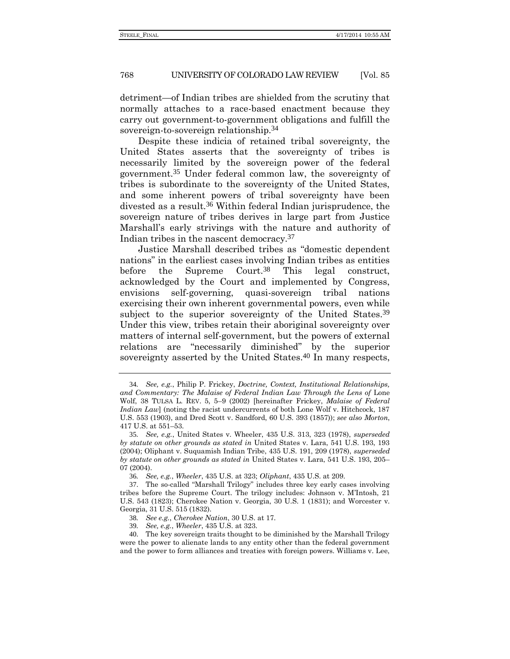detriment—of Indian tribes are shielded from the scrutiny that normally attaches to a race-based enactment because they carry out government-to-government obligations and fulfill the sovereign-to-sovereign relationship.34

<span id="page-9-0"></span>Despite these indicia of retained tribal sovereignty, the United States asserts that the sovereignty of tribes is necessarily limited by the sovereign power of the federal government.35 Under federal common law, the sovereignty of tribes is subordinate to the sovereignty of the United States, and some inherent powers of tribal sovereignty have been divested as a result.36 Within federal Indian jurisprudence, the sovereign nature of tribes derives in large part from Justice Marshall's early strivings with the nature and authority of Indian tribes in the nascent democracy.37

Justice Marshall described tribes as "domestic dependent nations" in the earliest cases involving Indian tribes as entities before the Supreme Court.<sup>38</sup> This legal construct, acknowledged by the Court and implemented by Congress, envisions self-governing, quasi-sovereign tribal nations exercising their own inherent governmental powers, even while subject to the superior sovereignty of the United States.<sup>39</sup> Under this view, tribes retain their aboriginal sovereignty over matters of internal self-government, but the powers of external relations are "necessarily diminished" by the superior sovereignty asserted by the United States.<sup>40</sup> In many respects,

<sup>34</sup>*. See, e.g.*, Philip P. Frickey, *Doctrine, Context, Institutional Relationships,*  and Commentary: The Malaise of Federal Indian Law Through the Lens of Lone Wolf, 38 TULSA L. REV. 5, 5–9 (2002) [hereinafter Frickey, *Malaise of Federal Indian Law*] (noting the racist undercurrents of both Lone Wolf v. Hitchcock, 187 U.S. 553 (1903), and Dred Scott v. Sandford, 60 U.S. 393 (1857)); *see also Morton*, 417 U.S. at 551–53.

<sup>35</sup>*. See, e.g.*, United States v. Wheeler, 435 U.S. 313, 323 (1978), *superseded by statute on other grounds as stated in* United States v. Lara, 541 U.S. 193, 193 (2004); Oliphant v. Suquamish Indian Tribe, 435 U.S. 191, 209 (1978), *superseded by statute on other grounds as stated in* United States v. Lara, 541 U.S. 193, 205– 07 (2004).

<sup>36</sup>*. See, e.g.*, *Wheeler*, 435 U.S. at 323; *Oliphant*, 435 U.S. at 209.

<sup>37</sup>. The so-called "Marshall Trilogy" includes three key early cases involving tribes before the Supreme Court. The trilogy includes: Johnson v. M'Intosh, 21 U.S. 543 (1823); Cherokee Nation v. Georgia, 30 U.S. 1 (1831); and Worcester v. Georgia, 31 U.S. 515 (1832).

<sup>38</sup>*. See e.g.*, *Cherokee Nation*, 30 U.S. at 17.

<sup>39</sup>*. See, e.g.*, *Wheeler*, 435 U.S. at 323.

<sup>40</sup>. The key sovereign traits thought to be diminished by the Marshall Trilogy were the power to alienate lands to any entity other than the federal government and the power to form alliances and treaties with foreign powers. Williams v. Lee,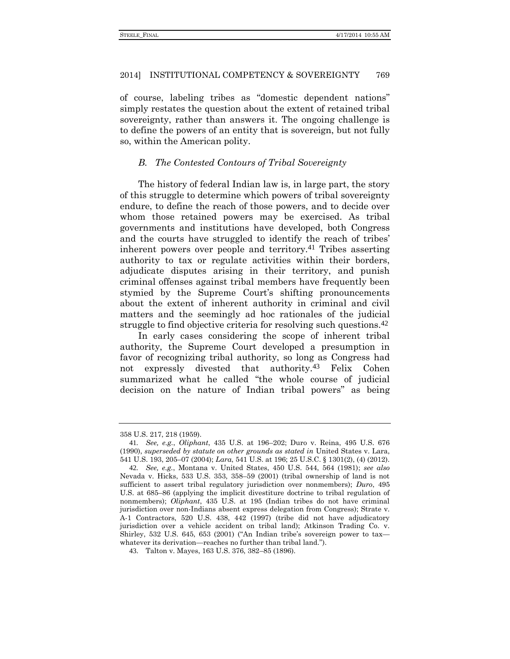of course, labeling tribes as "domestic dependent nations" simply restates the question about the extent of retained tribal sovereignty, rather than answers it. The ongoing challenge is to define the powers of an entity that is sovereign, but not fully so, within the American polity.

# *B. The Contested Contours of Tribal Sovereignty*

The history of federal Indian law is, in large part, the story of this struggle to determine which powers of tribal sovereignty endure, to define the reach of those powers, and to decide over whom those retained powers may be exercised. As tribal governments and institutions have developed, both Congress and the courts have struggled to identify the reach of tribes' inherent powers over people and territory.41 Tribes asserting authority to tax or regulate activities within their borders, adjudicate disputes arising in their territory, and punish criminal offenses against tribal members have frequently been stymied by the Supreme Court's shifting pronouncements about the extent of inherent authority in criminal and civil matters and the seemingly ad hoc rationales of the judicial struggle to find objective criteria for resolving such questions.<sup>42</sup>

In early cases considering the scope of inherent tribal authority, the Supreme Court developed a presumption in favor of recognizing tribal authority, so long as Congress had not expressly divested that authority.43 Felix Cohen summarized what he called "the whole course of judicial decision on the nature of Indian tribal powers" as being

<sup>358</sup> U.S. 217, 218 (1959).

<sup>41</sup>*. See, e.g.*, *Oliphant*, 435 U.S. at 196–202; Duro v. Reina, 495 U.S. 676 (1990), *superseded by statute on other grounds as stated in* United States v. Lara, 541 U.S. 193, 205–07 (2004); *Lara*, 541 U.S. at 196; 25 U.S.C. § 1301(2), (4) (2012).

<sup>42</sup>*. See, e.g.*, Montana v. United States, 450 U.S. 544, 564 (1981); *see also* Nevada v. Hicks, 533 U.S. 353, 358–59 (2001) (tribal ownership of land is not sufficient to assert tribal regulatory jurisdiction over nonmembers); *Duro*, 495 U.S. at 685–86 (applying the implicit divestiture doctrine to tribal regulation of nonmembers); *Oliphant*, 435 U.S. at 195 (Indian tribes do not have criminal jurisdiction over non-Indians absent express delegation from Congress); Strate v. A-1 Contractors, 520 U.S. 438, 442 (1997) (tribe did not have adjudicatory jurisdiction over a vehicle accident on tribal land); Atkinson Trading Co. v. Shirley, 532 U.S. 645, 653 (2001) ("An Indian tribe's sovereign power to tax whatever its derivation—reaches no further than tribal land.").

<sup>43</sup>. Talton v. Mayes, 163 U.S. 376, 382–85 (1896).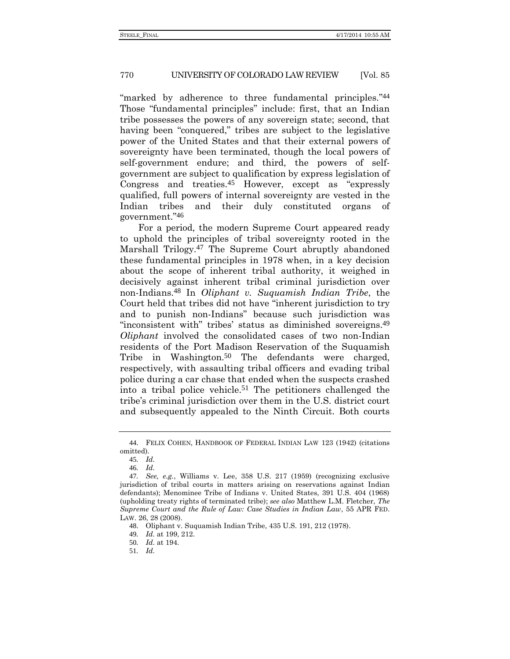"marked by adherence to three fundamental principles."<sup>44</sup> Those "fundamental principles" include: first, that an Indian tribe possesses the powers of any sovereign state; second, that having been "conquered," tribes are subject to the legislative power of the United States and that their external powers of sovereignty have been terminated, though the local powers of self-government endure; and third, the powers of selfgovernment are subject to qualification by express legislation of Congress and treaties.45 However, except as "expressly qualified, full powers of internal sovereignty are vested in the Indian tribes and their duly constituted organs of government." 46

For a period, the modern Supreme Court appeared ready to uphold the principles of tribal sovereignty rooted in the Marshall Trilogy.47 The Supreme Court abruptly abandoned these fundamental principles in 1978 when, in a key decision about the scope of inherent tribal authority, it weighed in decisively against inherent tribal criminal jurisdiction over non-Indians.48 In *Oliphant v. Suquamish Indian Tribe*, the Court held that tribes did not have "inherent jurisdiction to try and to punish non-Indians" because such jurisdiction was "inconsistent with" tribes' status as diminished sovereigns.<sup>49</sup> *Oliphant* involved the consolidated cases of two non-Indian residents of the Port Madison Reservation of the Suquamish Tribe in Washington.<sup>50</sup> The defendants were charged, respectively, with assaulting tribal officers and evading tribal police during a car chase that ended when the suspects crashed into a tribal police vehicle.51 The petitioners challenged the tribe's criminal jurisdiction over them in the U.S. district court and subsequently appealed to the Ninth Circuit. Both courts

<sup>44</sup>. FELIX COHEN, HANDBOOK OF FEDERAL INDIAN LAW 123 (1942) (citations omitted).

<sup>45</sup>*. Id.*

<sup>46</sup>*. Id.*

<sup>47</sup>*. See, e.g.*, Williams v. Lee, 358 U.S. 217 (1959) (recognizing exclusive jurisdiction of tribal courts in matters arising on reservations against Indian defendants); Menominee Tribe of Indians v. United States, 391 U.S. 404 (1968) (upholding treaty rights of terminated tribe); *see also* Matthew L.M. Fletcher, *The Supreme Court and the Rule of Law: Case Studies in Indian Law*, 55 APR FED. LAW. 26, 28 (2008).

<sup>48</sup>. Oliphant v. Suquamish Indian Tribe, 435 U.S. 191, 212 (1978).

<sup>49</sup>*. Id.* at 199, 212.

<sup>50</sup>*. Id.* at 194.

<sup>51</sup>*. Id.*

<span id="page-11-0"></span>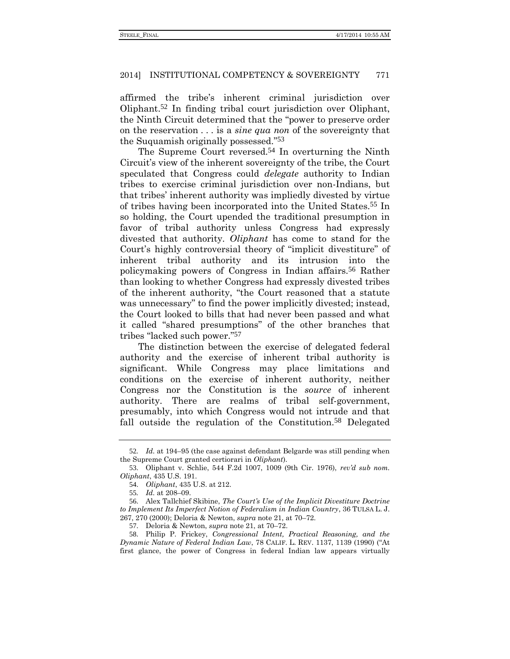affirmed the tribe's inherent criminal jurisdiction over Oliphant.52 In finding tribal court jurisdiction over Oliphant, the Ninth Circuit determined that the "power to preserve order on the reservation . . . is a *sine qua non* of the sovereignty that the Suquamish originally possessed." 53

The Supreme Court reversed.<sup>54</sup> In overturning the Ninth Circuit's view of the inherent sovereignty of the tribe, the Court speculated that Congress could *delegate* authority to Indian tribes to exercise criminal jurisdiction over non-Indians, but that tribes' inherent authority was impliedly divested by virtue of tribes having been incorporated into the United States.55 In so holding, the Court upended the traditional presumption in favor of tribal authority unless Congress had expressly divested that authority. *Oliphant* has come to stand for the Court's highly controversial theory of "implicit divestiture" of inherent tribal authority and its intrusion into the policymaking powers of Congress in Indian affairs.56 Rather than looking to whether Congress had expressly divested tribes of the inherent authority, "the Court reasoned that a statute was unnecessary" to find the power implicitly divested; instead, the Court looked to bills that had never been passed and what it called "shared presumptions" of the other branches that tribes "lacked such power." 57

The distinction between the exercise of delegated federal authority and the exercise of inherent tribal authority is significant. While Congress may place limitations and conditions on the exercise of inherent authority, neither Congress nor the Constitution is the *source* of inherent authority. There are realms of tribal self-government, presumably, into which Congress would not intrude and that fall outside the regulation of the Constitution.<sup>58</sup> Delegated

<sup>52</sup>*. Id.* at 194–95 (the case against defendant Belgarde was still pending when the Supreme Court granted certiorari in *Oliphant*).

<sup>53</sup>. Oliphant v. Schlie, 544 F.2d 1007, 1009 (9th Cir. 1976), *rev'd sub nom. Oliphant*, 435 U.S. 191.

<sup>54</sup>. *Oliphant*, 435 U.S. at 212.

<sup>55</sup>*. Id.* at 208–09.

<sup>56</sup>. Alex Tallchief Skibine, *The Court's Use of the Implicit Divestiture Doctrine to Implement Its Imperfect Notion of Federalism in Indian Country*, 36 TULSA L. J. 267, 270 (2000); Deloria & Newton, *supra* note [21,](#page-5-0) at 70–72.

<sup>57</sup>. Deloria & Newton, *supra* note [21,](#page-5-0) at 70–72.

<sup>58</sup>. Philip P. Frickey, *Congressional Intent, Practical Reasoning, and the Dynamic Nature of Federal Indian Law*, 78 CALIF. L. REV. 1137, 1139 (1990) ("At first glance, the power of Congress in federal Indian law appears virtually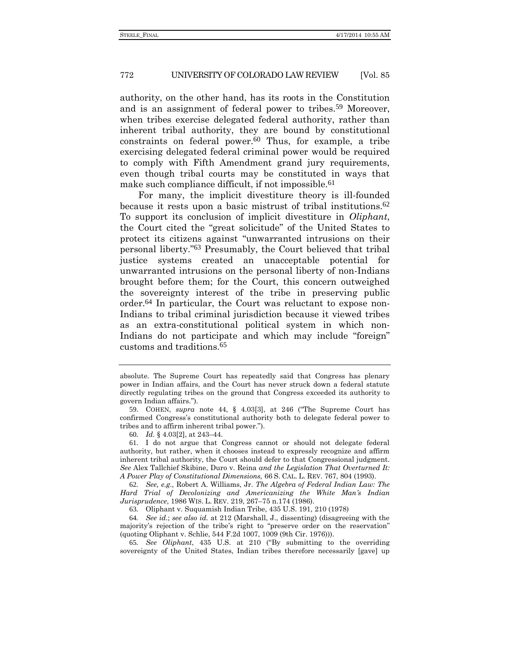authority, on the other hand, has its roots in the Constitution and is an assignment of federal power to tribes.59 Moreover, when tribes exercise delegated federal authority, rather than inherent tribal authority, they are bound by constitutional  $constrains$  on federal power.<sup>60</sup> Thus, for example, a tribe exercising delegated federal criminal power would be required to comply with Fifth Amendment grand jury requirements, even though tribal courts may be constituted in ways that make such compliance difficult, if not impossible.<sup>61</sup>

<span id="page-13-0"></span>For many, the implicit divestiture theory is ill-founded because it rests upon a basic mistrust of tribal institutions.62 To support its conclusion of implicit divestiture in *Oliphant*, the Court cited the "great solicitude" of the United States to protect its citizens against "unwarranted intrusions on their personal liberty." 63 Presumably, the Court believed that tribal justice systems created an unacceptable potential for unwarranted intrusions on the personal liberty of non-Indians brought before them; for the Court, this concern outweighed the sovereignty interest of the tribe in preserving public order.64 In particular, the Court was reluctant to expose non-Indians to tribal criminal jurisdiction because it viewed tribes as an extra-constitutional political system in which non-Indians do not participate and which may include "foreign" customs and traditions.65

absolute. The Supreme Court has repeatedly said that Congress has plenary power in Indian affairs, and the Court has never struck down a federal statute directly regulating tribes on the ground that Congress exceeded its authority to govern Indian affairs.").

<sup>59</sup>. COHEN, *supra* note [44,](#page-11-0) § 4.03[3], at 246 ("The Supreme Court has confirmed Congress's constitutional authority both to delegate federal power to tribes and to affirm inherent tribal power.").

<sup>60</sup>*. Id.* § 4.03[2], at 243–44.

<sup>61</sup>. I do not argue that Congress cannot or should not delegate federal authority, but rather, when it chooses instead to expressly recognize and affirm inherent tribal authority, the Court should defer to that Congressional judgment. *See* Alex Tallchief Skibine, Duro v. Reina *and the Legislation That Overturned It: A Power Play of Constitutional Dimensions,* 66 S. CAL. L. REV. 767, 804 (1993).

<sup>62</sup>*. See, e.g.,* Robert A. Williams, Jr. *The Algebra of Federal Indian Law: The Hard Trial of Decolonizing and Americanizing the White Man's Indian Jurisprudence*, 1986 WIS. L. REV. 219, 267–75 n.174 (1986).

<sup>63</sup>*.* Oliphant v. Suquamish Indian Tribe, 435 U.S. 191, 210 (1978)

<sup>64</sup>*. See id.*; *see also id.* at 212 (Marshall, J., dissenting) (disagreeing with the majority's rejection of the tribe's right to "preserve order on the reservation" (quoting Oliphant v. Schlie, 544 F.2d 1007, 1009 (9th Cir. 1976))).

<sup>65</sup>*. See Oliphant*, 435 U.S. at 210 ("By submitting to the overriding sovereignty of the United States, Indian tribes therefore necessarily [gave] up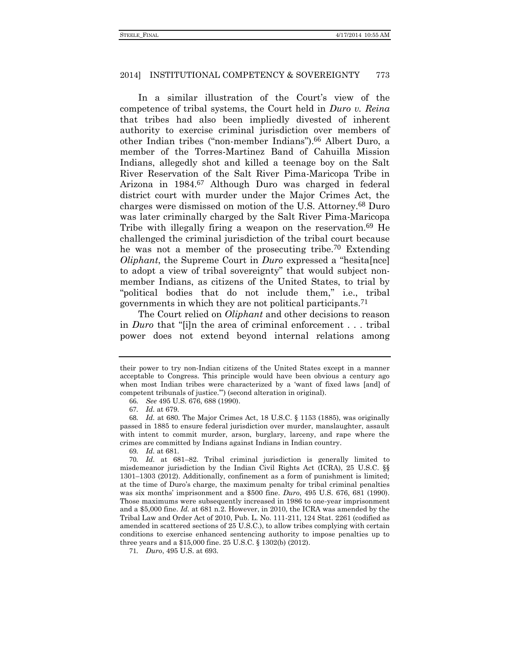In a similar illustration of the Court's view of the competence of tribal systems, the Court held in *Duro v. Reina*  that tribes had also been impliedly divested of inherent authority to exercise criminal jurisdiction over members of other Indian tribes ("non-member Indians").66 Albert Duro, a member of the Torres-Martinez Band of Cahuilla Mission Indians, allegedly shot and killed a teenage boy on the Salt River Reservation of the Salt River Pima-Maricopa Tribe in Arizona in 1984.67 Although Duro was charged in federal district court with murder under the Major Crimes Act, the charges were dismissed on motion of the U.S. Attorney.68 Duro was later criminally charged by the Salt River Pima-Maricopa Tribe with illegally firing a weapon on the reservation.<sup>69</sup> He challenged the criminal jurisdiction of the tribal court because he was not a member of the prosecuting tribe.70 Extending *Oliphant*, the Supreme Court in *Duro* expressed a "hesita[nce] to adopt a view of tribal sovereignty" that would subject nonmember Indians, as citizens of the United States, to trial by "political bodies that do not include them," i.e., tribal governments in which they are not political participants.71

The Court relied on *Oliphant* and other decisions to reason in *Duro* that "[i]n the area of criminal enforcement . . . tribal power does not extend beyond internal relations among

69*. Id.* at 681.

70*. Id.* at 681–82. Tribal criminal jurisdiction is generally limited to misdemeanor jurisdiction by the Indian Civil Rights Act (ICRA), 25 U.S.C. §§ 1301–1303 (2012). Additionally, confinement as a form of punishment is limited; at the time of Duro's charge, the maximum penalty for tribal criminal penalties was six months' imprisonment and a \$500 fine. *Duro*, 495 U.S. 676, 681 (1990). Those maximums were subsequently increased in 1986 to one-year imprisonment and a \$5,000 fine. *Id.* at 681 n.2. However, in 2010, the ICRA was amended by the Tribal Law and Order Act of 2010, Pub. L. No. 111-211, 124 Stat. 2261 (codified as amended in scattered sections of 25 U.S.C.), to allow tribes complying with certain conditions to exercise enhanced sentencing authority to impose penalties up to three years and a \$15,000 fine. 25 U.S.C. § 1302(b) (2012).

71*. Duro*, 495 U.S. at 693.

their power to try non-Indian citizens of the United States except in a manner acceptable to Congress. This principle would have been obvious a century ago when most Indian tribes were characterized by a 'want of fixed laws [and] of competent tribunals of justice.'") (second alteration in original).

<sup>66</sup>*. See* 495 U.S. 676, 688 (1990).

<sup>67</sup>*. Id.* at 679.

<sup>68</sup>*. Id.* at 680. The Major Crimes Act, 18 U.S.C. § 1153 (1885), was originally passed in 1885 to ensure federal jurisdiction over murder, manslaughter, assault with intent to commit murder, arson, burglary, larceny, and rape where the crimes are committed by Indians against Indians in Indian country.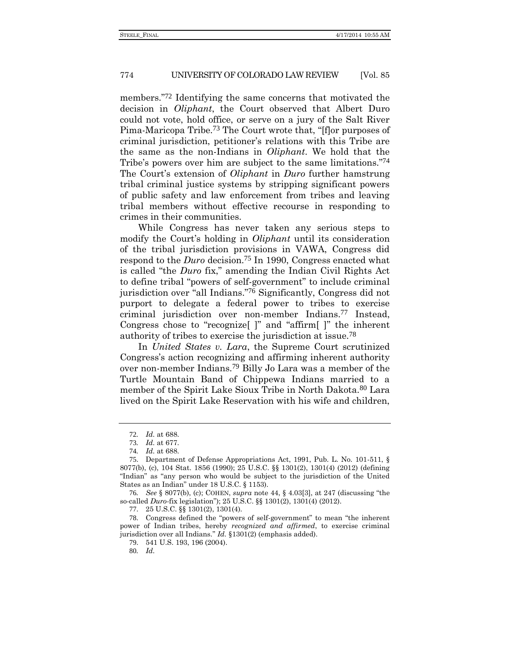members." 72 Identifying the same concerns that motivated the decision in *Oliphant*, the Court observed that Albert Duro could not vote, hold office, or serve on a jury of the Salt River Pima-Maricopa Tribe.73 The Court wrote that, "[f]or purposes of criminal jurisdiction, petitioner's relations with this Tribe are the same as the non-Indians in *Oliphant*. We hold that the Tribe's powers over him are subject to the same limitations."74 The Court's extension of *Oliphant* in *Duro* further hamstrung tribal criminal justice systems by stripping significant powers of public safety and law enforcement from tribes and leaving tribal members without effective recourse in responding to crimes in their communities.

While Congress has never taken any serious steps to modify the Court's holding in *Oliphant* until its consideration of the tribal jurisdiction provisions in VAWA, Congress did respond to the *Duro* decision.75 In 1990, Congress enacted what is called "the *Duro* fix," amending the Indian Civil Rights Act to define tribal "powers of self-government" to include criminal jurisdiction over "all Indians." 76 Significantly, Congress did not purport to delegate a federal power to tribes to exercise criminal jurisdiction over non-member Indians.77 Instead, Congress chose to "recognize[ ]" and "affirm[ ]" the inherent authority of tribes to exercise the jurisdiction at issue.78

In *United States v. Lara*, the Supreme Court scrutinized Congress's action recognizing and affirming inherent authority over non-member Indians.79 Billy Jo Lara was a member of the Turtle Mountain Band of Chippewa Indians married to a member of the Spirit Lake Sioux Tribe in North Dakota.80 Lara lived on the Spirit Lake Reservation with his wife and children,

76*. See* § 8077(b), (c); COHEN, *supra* not[e 44,](#page-11-0) § 4.03[3], at 247 (discussing "the so-called *Duro-*fix legislation"); 25 U.S.C. §§ 1301(2), 1301(4) (2012).

77. 25 U.S.C. §§ 1301(2), 1301(4)*.*

<sup>72</sup>*. Id.* at 688.

<sup>73</sup>*. Id.* at 677.

<sup>74</sup>*. Id.* at 688.

<sup>75</sup>. Department of Defense Appropriations Act, 1991, Pub. L. No. 101-511, § 8077(b), (c), 104 Stat. 1856 (1990); 25 U.S.C. §§ 1301(2), 1301(4) (2012) (defining "Indian" as "any person who would be subject to the jurisdiction of the United States as an Indian" under 18 U.S.C. § 1153).

<sup>78</sup>. Congress defined the "powers of self-government" to mean "the inherent power of Indian tribes, hereby *recognized and affirmed*, to exercise criminal jurisdiction over all Indians." *Id.* §1301(2) (emphasis added).

<sup>79</sup>. 541 U.S. 193, 196 (2004).

<sup>80</sup>*. Id.*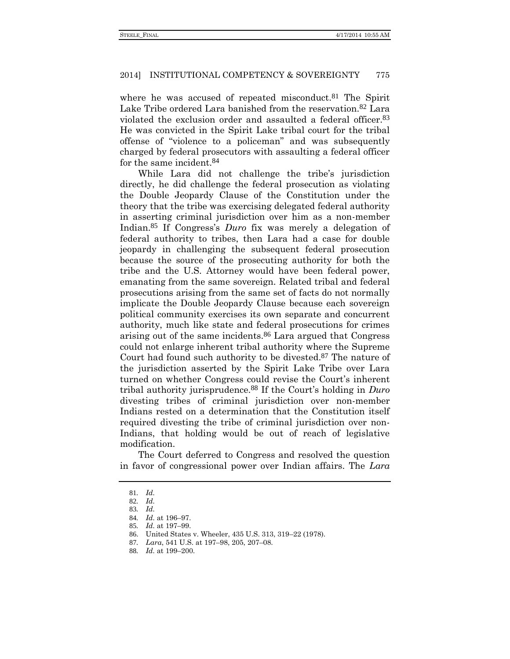where he was accused of repeated misconduct.<sup>81</sup> The Spirit Lake Tribe ordered Lara banished from the reservation.82 Lara violated the exclusion order and assaulted a federal officer.83 He was convicted in the Spirit Lake tribal court for the tribal offense of "violence to a policeman" and was subsequently charged by federal prosecutors with assaulting a federal officer for the same incident.84

While Lara did not challenge the tribe's jurisdiction directly, he did challenge the federal prosecution as violating the Double Jeopardy Clause of the Constitution under the theory that the tribe was exercising delegated federal authority in asserting criminal jurisdiction over him as a non-member Indian.85 If Congress's *Duro* fix was merely a delegation of federal authority to tribes, then Lara had a case for double jeopardy in challenging the subsequent federal prosecution because the source of the prosecuting authority for both the tribe and the U.S. Attorney would have been federal power, emanating from the same sovereign. Related tribal and federal prosecutions arising from the same set of facts do not normally implicate the Double Jeopardy Clause because each sovereign political community exercises its own separate and concurrent authority, much like state and federal prosecutions for crimes arising out of the same incidents.86 Lara argued that Congress could not enlarge inherent tribal authority where the Supreme Court had found such authority to be divested.<sup>87</sup> The nature of the jurisdiction asserted by the Spirit Lake Tribe over Lara turned on whether Congress could revise the Court's inherent tribal authority jurisprudence.88 If the Court's holding in *Duro* divesting tribes of criminal jurisdiction over non-member Indians rested on a determination that the Constitution itself required divesting the tribe of criminal jurisdiction over non-Indians, that holding would be out of reach of legislative modification.

The Court deferred to Congress and resolved the question in favor of congressional power over Indian affairs. The *Lara*

<sup>81</sup>*. Id.*

<sup>82</sup>*. Id.*

<sup>83</sup>*. Id.*

<sup>84</sup>*. Id.* at 196–97.

<sup>85</sup>*. Id.* at 197–99.

<sup>86</sup>. United States v. Wheeler, 435 U.S. 313, 319–22 (1978).

<sup>87</sup>*. Lara*, 541 U.S. at 197–98, 205, 207–08.

<sup>88</sup>*. Id.* at 199–200.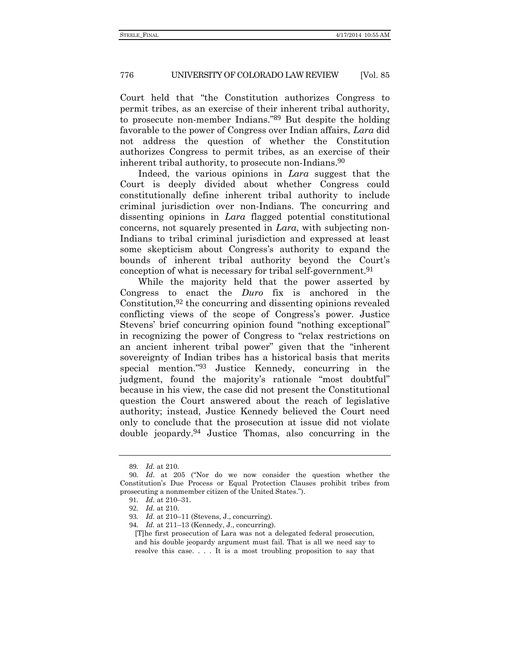Court held that "the Constitution authorizes Congress to permit tribes, as an exercise of their inherent tribal authority, to prosecute non-member Indians." 89 But despite the holding favorable to the power of Congress over Indian affairs, *Lara* did not address the question of whether the Constitution authorizes Congress to permit tribes, as an exercise of their inherent tribal authority, to prosecute non-Indians.90

Indeed, the various opinions in *Lara* suggest that the Court is deeply divided about whether Congress could constitutionally define inherent tribal authority to include criminal jurisdiction over non-Indians. The concurring and dissenting opinions in *Lara* flagged potential constitutional concerns, not squarely presented in *Lara*, with subjecting non-Indians to tribal criminal jurisdiction and expressed at least some skepticism about Congress's authority to expand the bounds of inherent tribal authority beyond the Court's conception of what is necessary for tribal self-government.91

While the majority held that the power asserted by Congress to enact the *Duro* fix is anchored in the Constitution,  $92$  the concurring and dissenting opinions revealed conflicting views of the scope of Congress's power. Justice Stevens' brief concurring opinion found "nothing exceptional" in recognizing the power of Congress to "relax restrictions on an ancient inherent tribal power" given that the "inherent sovereignty of Indian tribes has a historical basis that merits special mention." 93 Justice Kennedy, concurring in the judgment, found the majority's rationale "most doubtful" because in his view, the case did not present the Constitutional question the Court answered about the reach of legislative authority; instead, Justice Kennedy believed the Court need only to conclude that the prosecution at issue did not violate double jeopardy.94 Justice Thomas, also concurring in the

<sup>89</sup>*. Id.* at 210.

<sup>90</sup>*. Id.* at 205 ("Nor do we now consider the question whether the Constitution's Due Process or Equal Protection Clauses prohibit tribes from prosecuting a nonmember citizen of the United States.").

<sup>91</sup>*. Id.* at 210–31.

<sup>92</sup>*. Id.* at 210.

<sup>93</sup>*. Id.* at 210–11 (Stevens, J., concurring).

<sup>94</sup>*. Id.* at 211–13 (Kennedy, J., concurring).

<sup>[</sup>T]he first prosecution of Lara was not a delegated federal prosecution, and his double jeopardy argument must fail. That is all we need say to resolve this case. . . . It is a most troubling proposition to say that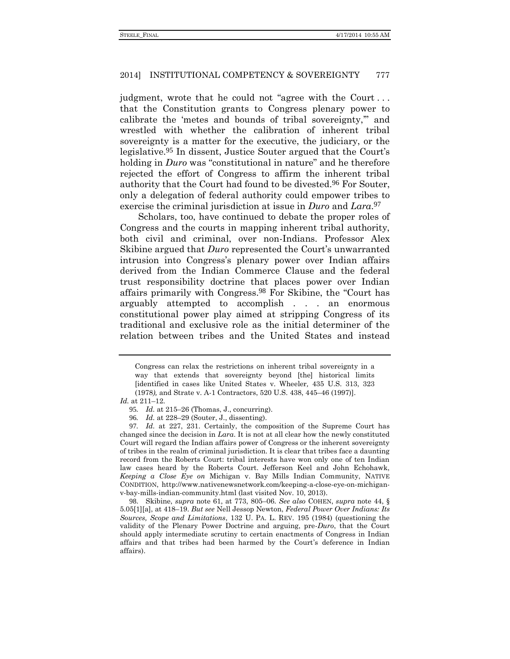judgment, wrote that he could not "agree with the Court . . . that the Constitution grants to Congress plenary power to calibrate the 'metes and bounds of tribal sovereignty,'" and wrestled with whether the calibration of inherent tribal sovereignty is a matter for the executive, the judiciary, or the legislative.95 In dissent, Justice Souter argued that the Court's holding in *Duro* was "constitutional in nature" and he therefore rejected the effort of Congress to affirm the inherent tribal authority that the Court had found to be divested.96 For Souter, only a delegation of federal authority could empower tribes to exercise the criminal jurisdiction at issue in *Duro* and *Lara*. 97

Scholars, too, have continued to debate the proper roles of Congress and the courts in mapping inherent tribal authority, both civil and criminal, over non-Indians. Professor Alex Skibine argued that *Duro* represented the Court's unwarranted intrusion into Congress's plenary power over Indian affairs derived from the Indian Commerce Clause and the federal trust responsibility doctrine that places power over Indian affairs primarily with Congress.98 For Skibine, the "Court has arguably attempted to accomplish . . . an enormous constitutional power play aimed at stripping Congress of its traditional and exclusive role as the initial determiner of the relation between tribes and the United States and instead

*Id.* at 211–12.

<span id="page-18-0"></span>Congress can relax the restrictions on inherent tribal sovereignty in a way that extends that sovereignty beyond [the] historical limits [identified in cases like United States v. Wheeler*,* 435 U.S. 313, 323 (1978*),* and Strate v. A-1 Contractors, 520 U.S. 438, 445–46 (1997)].

<sup>95</sup>*. Id.* at 215–26 (Thomas, J., concurring).

<sup>96</sup>*. Id.* at 228–29 (Souter, J., dissenting).

<sup>97</sup>*. Id.* at 227, 231. Certainly, the composition of the Supreme Court has changed since the decision in *Lara*. It is not at all clear how the newly constituted Court will regard the Indian affairs power of Congress or the inherent sovereignty of tribes in the realm of criminal jurisdiction. It is clear that tribes face a daunting record from the Roberts Court: tribal interests have won only one of ten Indian law cases heard by the Roberts Court. Jefferson Keel and John Echohawk, *Keeping a Close Eye on* Michigan v. Bay Mills Indian Community, NATIVE CONDITION, http://www.nativenewsnetwork.com/keeping-a-close-eye-on-michiganv-bay-mills-indian-community.html (last visited Nov. 10, 2013).

<sup>98</sup>. Skibine, *supra* note [61,](#page-13-0) at 773, 805–06. *See also* COHEN, *supra* note [44,](#page-11-0) § 5.05[1][a], at 418–19. *But see* Nell Jessop Newton, *Federal Power Over Indians: Its Sources, Scope and Limitations*, 132 U. PA. L. REV. 195 (1984) (questioning the validity of the Plenary Power Doctrine and arguing, pre-*Duro*, that the Court should apply intermediate scrutiny to certain enactments of Congress in Indian affairs and that tribes had been harmed by the Court's deference in Indian affairs).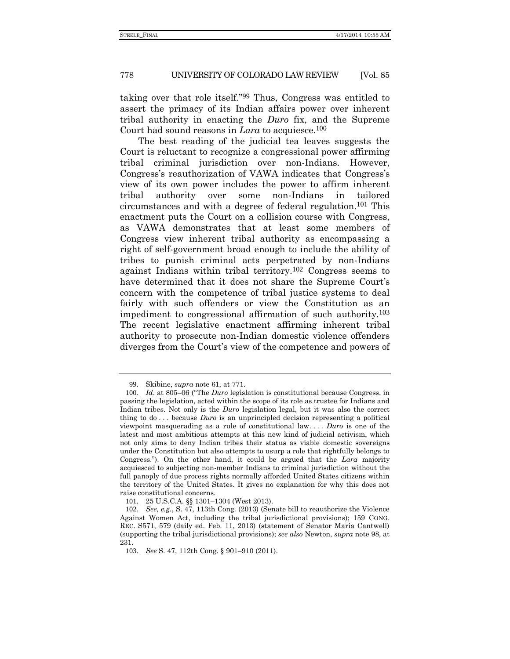taking over that role itself." 99 Thus, Congress was entitled to assert the primacy of its Indian affairs power over inherent tribal authority in enacting the *Duro* fix, and the Supreme Court had sound reasons in *Lara* to acquiesce.<sup>100</sup>

The best reading of the judicial tea leaves suggests the Court is reluctant to recognize a congressional power affirming tribal criminal jurisdiction over non-Indians. However, Congress's reauthorization of VAWA indicates that Congress's view of its own power includes the power to affirm inherent tribal authority over some non-Indians in tailored circumstances and with a degree of federal regulation.101 This enactment puts the Court on a collision course with Congress, as VAWA demonstrates that at least some members of Congress view inherent tribal authority as encompassing a right of self-government broad enough to include the ability of tribes to punish criminal acts perpetrated by non-Indians against Indians within tribal territory.102 Congress seems to have determined that it does not share the Supreme Court's concern with the competence of tribal justice systems to deal fairly with such offenders or view the Constitution as an impediment to congressional affirmation of such authority.103 The recent legislative enactment affirming inherent tribal authority to prosecute non-Indian domestic violence offenders diverges from the Court's view of the competence and powers of

<sup>99</sup>. Skibine, *supra* note [61,](#page-13-0) at 771.

<sup>100</sup>*. Id*. at 805–06 ("The *Duro* legislation is constitutional because Congress, in passing the legislation, acted within the scope of its role as trustee for Indians and Indian tribes. Not only is the *Duro* legislation legal, but it was also the correct thing to do . . . because *Duro* is an unprincipled decision representing a political viewpoint masquerading as a rule of constitutional law. . . . *Duro* is one of the latest and most ambitious attempts at this new kind of judicial activism, which not only aims to deny Indian tribes their status as viable domestic sovereigns under the Constitution but also attempts to usurp a role that rightfully belongs to Congress."). On the other hand, it could be argued that the *Lara* majority acquiesced to subjecting non-member Indians to criminal jurisdiction without the full panoply of due process rights normally afforded United States citizens within the territory of the United States. It gives no explanation for why this does not raise constitutional concerns.

<sup>101</sup>. 25 U.S.C.A. §§ 1301–1304 (West 2013).

<sup>102</sup>*. See, e.g.*, S. 47, 113th Cong. (2013) (Senate bill to reauthorize the Violence Against Women Act, including the tribal jurisdictional provisions); 159 CONG. REC. S571, 579 (daily ed. Feb. 11, 2013) (statement of Senator Maria Cantwell) (supporting the tribal jurisdictional provisions); *see also* Newton, *supra* not[e 98,](#page-18-0) at 231.

<sup>103</sup>*. See* S. 47, 112th Cong. § 901–910 (2011).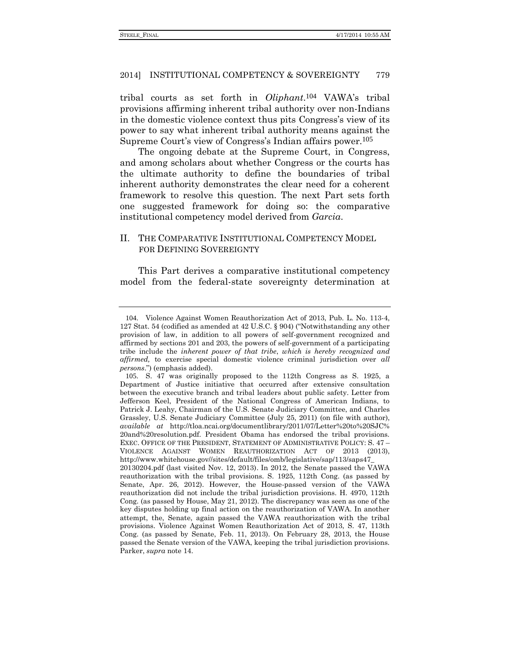tribal courts as set forth in *Oliphant*. 104 VAWA's tribal provisions affirming inherent tribal authority over non-Indians in the domestic violence context thus pits Congress's view of its power to say what inherent tribal authority means against the Supreme Court's view of Congress's Indian affairs power.105

The ongoing debate at the Supreme Court, in Congress, and among scholars about whether Congress or the courts has the ultimate authority to define the boundaries of tribal inherent authority demonstrates the clear need for a coherent framework to resolve this question. The next Part sets forth one suggested framework for doing so: the comparative institutional competency model derived from *Garcia*.

# II. THE COMPARATIVE INSTITUTIONAL COMPETENCY MODEL FOR DEFINING SOVEREIGNTY

This Part derives a comparative institutional competency model from the federal-state sovereignty determination at

<sup>104</sup>. Violence Against Women Reauthorization Act of 2013, Pub. L. No. 113-4, 127 Stat. 54 (codified as amended at 42 U.S.C. § 904) ("Notwithstanding any other provision of law, in addition to all powers of self-government recognized and affirmed by sections 201 and 203, the powers of self-government of a participating tribe include the *inherent power of that tribe*, *which is hereby recognized and affirmed,* to exercise special domestic violence criminal jurisdiction over *all persons*.") (emphasis added).

<sup>105</sup>. S. 47 was originally proposed to the 112th Congress as S. 1925, a Department of Justice initiative that occurred after extensive consultation between the executive branch and tribal leaders about public safety. Letter from Jefferson Keel, President of the National Congress of American Indians, to Patrick J. Leahy, Chairman of the U.S. Senate Judiciary Committee, and Charles Grassley, U.S. Senate Judiciary Committee (July 25, 2011) (on file with author), *available at* http://tloa.ncai.org/documentlibrary/2011/07/Letter%20to%20SJC% 20and%20resolution.pdf. President Obama has endorsed the tribal provisions. EXEC. OFFICE OF THE PRESIDENT, STATEMENT OF ADMINISTRATIVE POLICY: S. 47 – VIOLENCE AGAINST WOMEN REAUTHORIZATION ACT OF 2013 (2013), http://www.whitehouse.gov//sites/default/files/omb/legislative/sap/113/saps47\_ 20130204.pdf (last visited Nov. 12, 2013). In 2012, the Senate passed the VAWA reauthorization with the tribal provisions. S. 1925, 112th Cong. (as passed by Senate, Apr. 26, 2012). However, the House-passed version of the VAWA reauthorization did not include the tribal jurisdiction provisions. H. 4970, 112th Cong. (as passed by House, May 21, 2012). The discrepancy was seen as one of the key disputes holding up final action on the reauthorization of VAWA. In another attempt, the, Senate, again passed the VAWA reauthorization with the tribal provisions. Violence Against Women Reauthorization Act of 2013, S. 47, 113th Cong. (as passed by Senate, Feb. 11, 2013). On February 28, 2013, the House passed the Senate version of the VAWA, keeping the tribal jurisdiction provisions. Parker, *supra* note [14.](#page-3-0)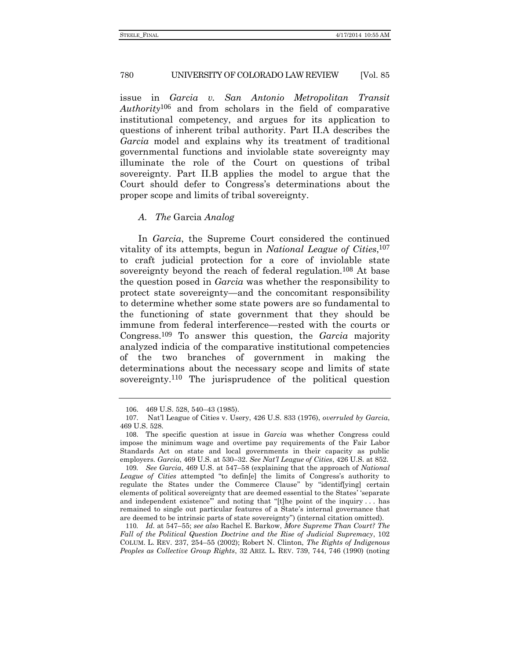issue in *Garcia v. San Antonio Metropolitan Transit Authority*106 and from scholars in the field of comparative institutional competency, and argues for its application to questions of inherent tribal authority. Part II.A describes the *Garcia* model and explains why its treatment of traditional governmental functions and inviolable state sovereignty may illuminate the role of the Court on questions of tribal sovereignty. Part II.B applies the model to argue that the Court should defer to Congress's determinations about the proper scope and limits of tribal sovereignty.

### *A. The* Garcia *Analog*

In *Garcia*, the Supreme Court considered the continued vitality of its attempts, begun in *National League of Cities*, 107 to craft judicial protection for a core of inviolable state sovereignty beyond the reach of federal regulation.<sup>108</sup> At base the question posed in *Garcia* was whether the responsibility to protect state sovereignty—and the concomitant responsibility to determine whether some state powers are so fundamental to the functioning of state government that they should be immune from federal interference—rested with the courts or Congress.109 To answer this question, the *Garcia* majority analyzed indicia of the comparative institutional competencies of the two branches of government in making the determinations about the necessary scope and limits of state sovereignty.110 The jurisprudence of the political question

<span id="page-21-0"></span><sup>106</sup>. 469 U.S. 528, 540–43 (1985).

<sup>107</sup>. Nat'l League of Cities v. Usery, 426 U.S. 833 (1976), *overruled by Garcia*, 469 U.S. 528.

<sup>108</sup>. The specific question at issue in *Garcia* was whether Congress could impose the minimum wage and overtime pay requirements of the Fair Labor Standards Act on state and local governments in their capacity as public employers. *Garcia*, 469 U.S. at 530–32. *See Nat'l League of Cities*, 426 U.S. at 852.

<sup>109</sup>*. See Garcia*, 469 U.S. at 547–58 (explaining that the approach of *National League of Cities* attempted "to defin[e] the limits of Congress's authority to regulate the States under the Commerce Clause" by "identif[ying] certain elements of political sovereignty that are deemed essential to the States' 'separate and independent existence'" and noting that "[t]he point of the inquiry . . . has remained to single out particular features of a State's internal governance that are deemed to be intrinsic parts of state sovereignty") (internal citation omitted).

<sup>110</sup>*. Id.* at 547–55; *see also* Rachel E. Barkow, *More Supreme Than Court? The Fall of the Political Question Doctrine and the Rise of Judicial Supremacy*, 102 COLUM. L. REV. 237, 254–55 (2002); Robert N. Clinton, *The Rights of Indigenous Peoples as Collective Group Rights*, 32 ARIZ. L. REV. 739, 744, 746 (1990) (noting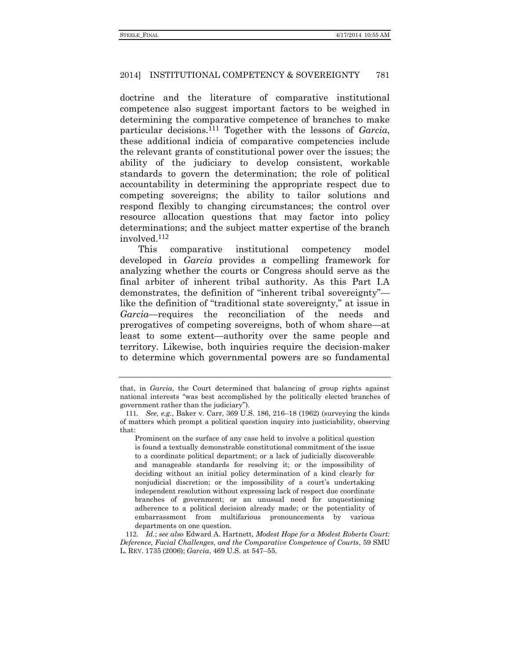doctrine and the literature of comparative institutional competence also suggest important factors to be weighed in determining the comparative competence of branches to make particular decisions.111 Together with the lessons of *Garcia*, these additional indicia of comparative competencies include the relevant grants of constitutional power over the issues; the ability of the judiciary to develop consistent, workable standards to govern the determination; the role of political accountability in determining the appropriate respect due to competing sovereigns; the ability to tailor solutions and respond flexibly to changing circumstances; the control over resource allocation questions that may factor into policy determinations; and the subject matter expertise of the branch involved.112

<span id="page-22-0"></span>This comparative institutional competency model developed in *Garcia* provides a compelling framework for analyzing whether the courts or Congress should serve as the final arbiter of inherent tribal authority. As this Part I.A demonstrates, the definition of "inherent tribal sovereignty" like the definition of "traditional state sovereignty," at issue in *Garcia*—requires the reconciliation of the needs and prerogatives of competing sovereigns, both of whom share—at least to some extent—authority over the same people and territory. Likewise, both inquiries require the decision-maker to determine which governmental powers are so fundamental

that, in *Garcia*, the Court determined that balancing of group rights against national interests "was best accomplished by the politically elected branches of government rather than the judiciary").

<sup>111</sup>*. See, e.g.*, Baker v. Carr, 369 U.S. 186, 216–18 (1962) (surveying the kinds of matters which prompt a political question inquiry into justiciability, observing that:

Prominent on the surface of any case held to involve a political question is found a textually demonstrable constitutional commitment of the issue to a coordinate political department; or a lack of judicially discoverable and manageable standards for resolving it; or the impossibility of deciding without an initial policy determination of a kind clearly for nonjudicial discretion; or the impossibility of a court's undertaking independent resolution without expressing lack of respect due coordinate branches of government; or an unusual need for unquestioning adherence to a political decision already made; or the potentiality of embarrassment from multifarious pronouncements by various departments on one question.

<sup>112</sup>*. Id.*; *see also* Edward A. Hartnett, *Modest Hope for a Modest Roberts Court: Deference, Facial Challenges, and the Comparative Competence of Courts*, 59 SMU L. REV. 1735 (2006); *Garcia*, 469 U.S*.* at 547–55.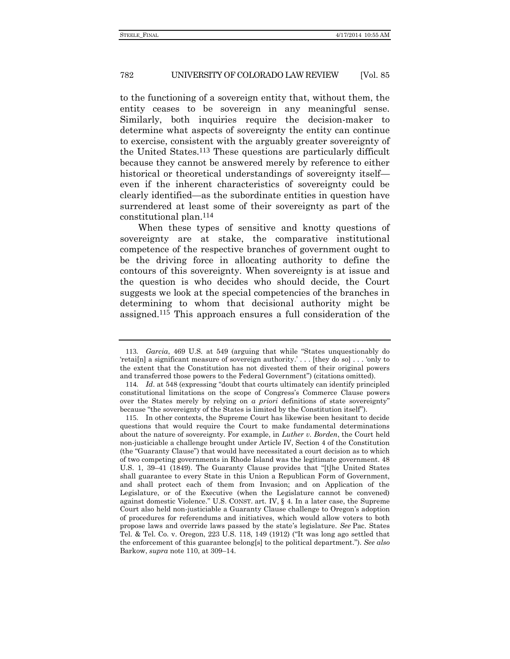to the functioning of a sovereign entity that, without them, the entity ceases to be sovereign in any meaningful sense. Similarly, both inquiries require the decision-maker to determine what aspects of sovereignty the entity can continue to exercise, consistent with the arguably greater sovereignty of the United States.113 These questions are particularly difficult because they cannot be answered merely by reference to either historical or theoretical understandings of sovereignty itself even if the inherent characteristics of sovereignty could be clearly identified—as the subordinate entities in question have surrendered at least some of their sovereignty as part of the constitutional plan.114

When these types of sensitive and knotty questions of sovereignty are at stake, the comparative institutional competence of the respective branches of government ought to be the driving force in allocating authority to define the contours of this sovereignty. When sovereignty is at issue and the question is who decides who should decide, the Court suggests we look at the special competencies of the branches in determining to whom that decisional authority might be assigned.115 This approach ensures a full consideration of the

<sup>113</sup>*. Garcia*, 469 U.S*.* at 549 (arguing that while "States unquestionably do 'retai[n] a significant measure of sovereign authority.' . . . [they do so] . . . 'only to the extent that the Constitution has not divested them of their original powers and transferred those powers to the Federal Government") (citations omitted).

<sup>114</sup>*. Id*. at 548 (expressing "doubt that courts ultimately can identify principled constitutional limitations on the scope of Congress's Commerce Clause powers over the States merely by relying on *a priori* definitions of state sovereignty" because "the sovereignty of the States is limited by the Constitution itself").

<sup>115</sup>. In other contexts, the Supreme Court has likewise been hesitant to decide questions that would require the Court to make fundamental determinations about the nature of sovereignty. For example, in *Luther v. Borden*, the Court held non-justiciable a challenge brought under Article IV, Section 4 of the Constitution (the "Guaranty Clause") that would have necessitated a court decision as to which of two competing governments in Rhode Island was the legitimate government. 48 U.S. 1, 39–41 (1849). The Guaranty Clause provides that "[t]he United States shall guarantee to every State in this Union a Republican Form of Government, and shall protect each of them from Invasion; and on Application of the Legislature, or of the Executive (when the Legislature cannot be convened) against domestic Violence." U.S. CONST. art. IV, § 4. In a later case, the Supreme Court also held non-justiciable a Guaranty Clause challenge to Oregon's adoption of procedures for referendums and initiatives, which would allow voters to both propose laws and override laws passed by the state's legislature. *See* Pac. States Tel. & Tel. Co. v. Oregon, 223 U.S. 118, 149 (1912) ("It was long ago settled that the enforcement of this guarantee belong[s] to the political department."). *See also* Barkow, *supra* not[e 110,](#page-21-0) at 309–14.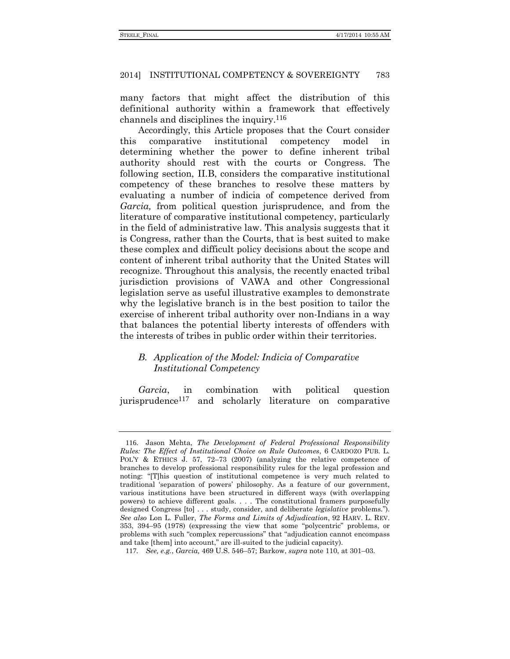many factors that might affect the distribution of this definitional authority within a framework that effectively channels and disciplines the inquiry.116

<span id="page-24-0"></span>Accordingly, this Article proposes that the Court consider this comparative institutional competency model in determining whether the power to define inherent tribal authority should rest with the courts or Congress. The following section, II.B, considers the comparative institutional competency of these branches to resolve these matters by evaluating a number of indicia of competence derived from *Garcia,* from political question jurisprudence, and from the literature of comparative institutional competency, particularly in the field of administrative law. This analysis suggests that it is Congress, rather than the Courts, that is best suited to make these complex and difficult policy decisions about the scope and content of inherent tribal authority that the United States will recognize. Throughout this analysis, the recently enacted tribal jurisdiction provisions of VAWA and other Congressional legislation serve as useful illustrative examples to demonstrate why the legislative branch is in the best position to tailor the exercise of inherent tribal authority over non-Indians in a way that balances the potential liberty interests of offenders with the interests of tribes in public order within their territories.

# *B. Application of the Model: Indicia of Comparative Institutional Competency*

*Garcia*, in combination with political question iurisprudence<sup>117</sup> and scholarly literature on comparative

<sup>116</sup>. Jason Mehta, *The Development of Federal Professional Responsibility Rules: The Effect of Institutional Choice on Rule Outcomes*, 6 CARDOZO PUB. L. POL'Y & ETHICS J. 57, 72–73 (2007) (analyzing the relative competence of branches to develop professional responsibility rules for the legal profession and noting: "[T]his question of institutional competence is very much related to traditional 'separation of powers' philosophy. As a feature of our government, various institutions have been structured in different ways (with overlapping powers) to achieve different goals. . . . The constitutional framers purposefully designed Congress [to] . . . study, consider, and deliberate *legislative* problems."). *See also* Lon L. Fuller, *The Forms and Limits of Adjudication*, 92 HARV. L. REV. 353, 394–95 (1978) (expressing the view that some "polycentric" problems, or problems with such "complex repercussions" that "adjudication cannot encompass and take [them] into account," are ill-suited to the judicial capacity).

<sup>117</sup>*. See, e.g.*, *Garcia,* 469 U.S. 546–57; Barkow, *supra* not[e 110,](#page-21-0) at 301–03.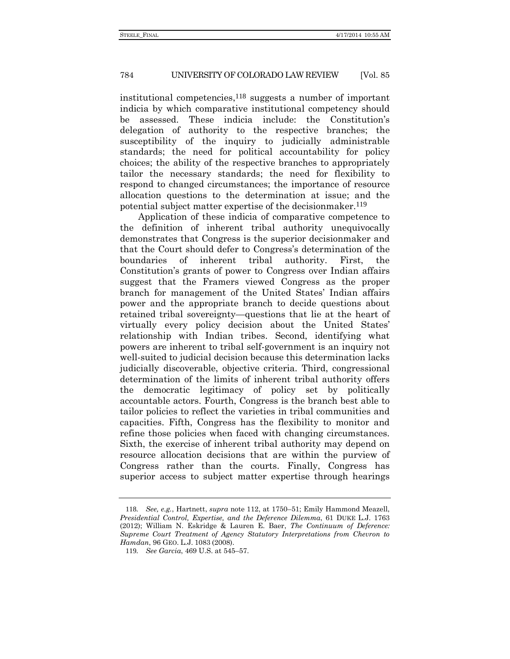institutional competencies,118 suggests a number of important indicia by which comparative institutional competency should be assessed. These indicia include: the Constitution's delegation of authority to the respective branches; the susceptibility of the inquiry to judicially administrable standards; the need for political accountability for policy choices; the ability of the respective branches to appropriately tailor the necessary standards; the need for flexibility to respond to changed circumstances; the importance of resource allocation questions to the determination at issue; and the potential subject matter expertise of the decisionmaker.<sup>119</sup>

Application of these indicia of comparative competence to the definition of inherent tribal authority unequivocally demonstrates that Congress is the superior decisionmaker and that the Court should defer to Congress's determination of the boundaries of inherent tribal authority. First, the Constitution's grants of power to Congress over Indian affairs suggest that the Framers viewed Congress as the proper branch for management of the United States' Indian affairs power and the appropriate branch to decide questions about retained tribal sovereignty—questions that lie at the heart of virtually every policy decision about the United States' relationship with Indian tribes. Second, identifying what powers are inherent to tribal self-government is an inquiry not well-suited to judicial decision because this determination lacks judicially discoverable, objective criteria. Third, congressional determination of the limits of inherent tribal authority offers the democratic legitimacy of policy set by politically accountable actors. Fourth, Congress is the branch best able to tailor policies to reflect the varieties in tribal communities and capacities. Fifth, Congress has the flexibility to monitor and refine those policies when faced with changing circumstances. Sixth, the exercise of inherent tribal authority may depend on resource allocation decisions that are within the purview of Congress rather than the courts. Finally, Congress has superior access to subject matter expertise through hearings

<sup>118</sup>*. See, e.g.*, Hartnett, *supra* note [112,](#page-22-0) at 1750–51; Emily Hammond Meazell, *Presidential Control, Expertise, and the Deference Dilemma*, 61 DUKE L.J. 1763 (2012); William N. Eskridge & Lauren E. Baer, *The Continuum of Deference: Supreme Court Treatment of Agency Statutory Interpretations from Chevron to Hamdan*, 96 GEO. L.J. 1083 (2008).

<sup>119</sup>*. See Garcia*, 469 U.S. at 545–57.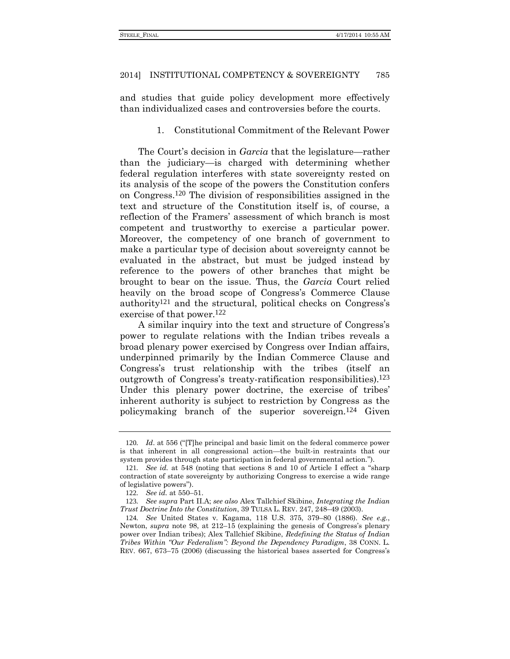and studies that guide policy development more effectively than individualized cases and controversies before the courts.

1. Constitutional Commitment of the Relevant Power

The Court's decision in *Garcia* that the legislature—rather than the judiciary—is charged with determining whether federal regulation interferes with state sovereignty rested on its analysis of the scope of the powers the Constitution confers on Congress.120 The division of responsibilities assigned in the text and structure of the Constitution itself is, of course, a reflection of the Framers' assessment of which branch is most competent and trustworthy to exercise a particular power. Moreover, the competency of one branch of government to make a particular type of decision about sovereignty cannot be evaluated in the abstract, but must be judged instead by reference to the powers of other branches that might be brought to bear on the issue. Thus, the *Garcia* Court relied heavily on the broad scope of Congress's Commerce Clause authority121 and the structural, political checks on Congress's exercise of that power.122

A similar inquiry into the text and structure of Congress's power to regulate relations with the Indian tribes reveals a broad plenary power exercised by Congress over Indian affairs, underpinned primarily by the Indian Commerce Clause and Congress's trust relationship with the tribes (itself an outgrowth of Congress's treaty-ratification responsibilities).123 Under this plenary power doctrine, the exercise of tribes' inherent authority is subject to restriction by Congress as the policymaking branch of the superior sovereign.124 Given

<sup>120</sup>*. Id*. at 556 ("[T]he principal and basic limit on the federal commerce power is that inherent in all congressional action—the built-in restraints that our system provides through state participation in federal governmental action.").

<sup>121</sup>*. See id.* at 548 (noting that sections 8 and 10 of Article I effect a "sharp contraction of state sovereignty by authorizing Congress to exercise a wide range of legislative powers").

<sup>122</sup>*. See id.* at 550–51.

<sup>123</sup>*. See supra* Part II.A; *see also* Alex Tallchief Skibine, *Integrating the Indian Trust Doctrine Into the Constitution*, 39 TULSA L. REV. 247, 248–49 (2003).

<sup>124</sup>*. See* United States v. Kagama, 118 U.S. 375, 379–80 (1886). *See e.g.*, Newton, *supra* note [98,](#page-18-0) at 212–15 (explaining the genesis of Congress's plenary power over Indian tribes); Alex Tallchief Skibine, *Redefining the Status of Indian Tribes Within "Our Federalism": Beyond the Dependency Paradigm*, 38 CONN. L. REV. 667, 673–75 (2006) (discussing the historical bases asserted for Congress's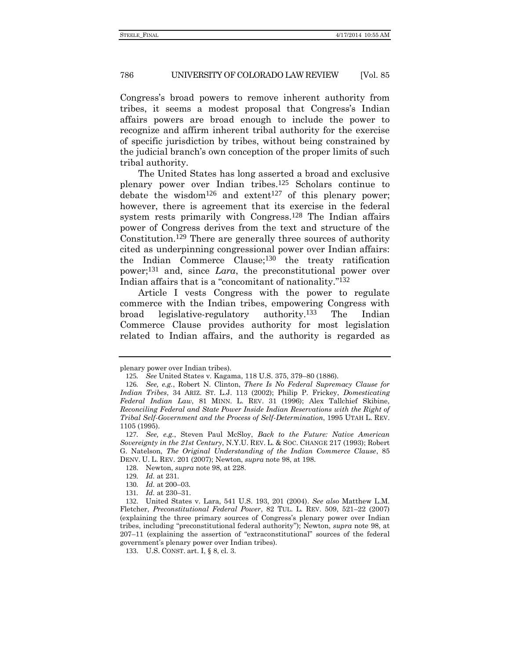Congress's broad powers to remove inherent authority from tribes, it seems a modest proposal that Congress's Indian affairs powers are broad enough to include the power to recognize and affirm inherent tribal authority for the exercise of specific jurisdiction by tribes, without being constrained by the judicial branch's own conception of the proper limits of such tribal authority.

The United States has long asserted a broad and exclusive plenary power over Indian tribes.125 Scholars continue to debate the wisdom<sup>126</sup> and extent<sup>127</sup> of this plenary power; however, there is agreement that its exercise in the federal system rests primarily with Congress.<sup>128</sup> The Indian affairs power of Congress derives from the text and structure of the Constitution.129 There are generally three sources of authority cited as underpinning congressional power over Indian affairs: the Indian Commerce Clause;130 the treaty ratification power;131 and, since *Lara*, the preconstitutional power over Indian affairs that is a "concomitant of nationality." 132

<span id="page-27-0"></span>Article I vests Congress with the power to regulate commerce with the Indian tribes, empowering Congress with broad legislative-regulatory authority.133 The Indian Commerce Clause provides authority for most legislation related to Indian affairs, and the authority is regarded as

plenary power over Indian tribes).

<sup>125</sup>*. See* United States v. Kagama, 118 U.S. 375, 379–80 (1886).

<sup>126</sup>*. See, e.g.*, Robert N. Clinton, *There Is No Federal Supremacy Clause for Indian Tribes*, 34 ARIZ. ST. L.J. 113 (2002); Philip P. Frickey, *Domesticating Federal Indian Law*, 81 MINN. L. REV. 31 (1996); Alex Tallchief Skibine, *Reconciling Federal and State Power Inside Indian Reservations with the Right of Tribal Self-Government and the Process of Self-Determination*, 1995 UTAH L. REV. 1105 (1995).

<sup>127</sup>*. See, e.g.*, Steven Paul McSloy, *Back to the Future: Native American Sovereignty in the 21st Century*, N.Y.U. REV. L. & SOC. CHANGE 217 (1993); Robert G. Natelson, *The Original Understanding of the Indian Commerce Clause*, 85 DENV. U. L. REV. 201 (2007); Newton, *supra* note [98,](#page-18-0) at 198.

<sup>128</sup>. Newton, *supra* not[e 98,](#page-18-0) at 228.

<sup>129</sup>*. Id.* at 231.

<sup>130</sup>*. Id.* at 200–03.

<sup>131</sup>*. Id.* at 230–31.

<sup>132</sup>. United States v. Lara, 541 U.S. 193, 201 (2004). *See also* Matthew L.M. Fletcher, *Preconstitutional Federal Power*, 82 TUL. L. REV. 509, 521–22 (2007) (explaining the three primary sources of Congress's plenary power over Indian tribes, including "preconstitutional federal authority"); Newton, *supra* note [98,](#page-18-0) at 207–11 (explaining the assertion of "extraconstitutional" sources of the federal government's plenary power over Indian tribes).

<sup>133</sup>. U.S. CONST. art. I, § 8, cl. 3.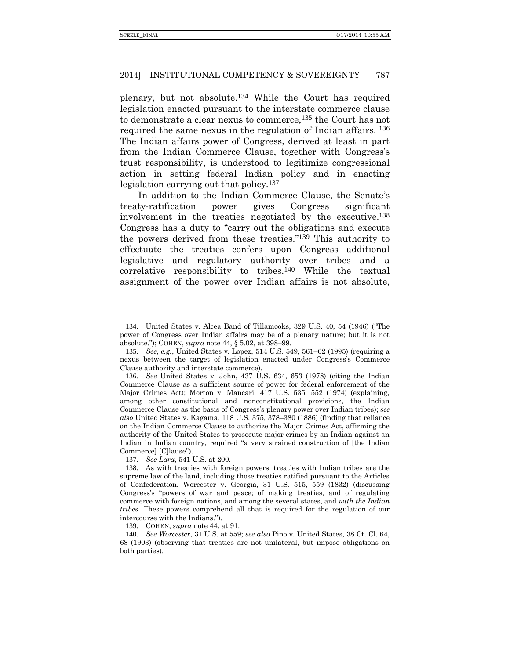plenary, but not absolute.134 While the Court has required legislation enacted pursuant to the interstate commerce clause to demonstrate a clear nexus to commerce,135 the Court has not required the same nexus in the regulation of Indian affairs. <sup>136</sup> The Indian affairs power of Congress, derived at least in part from the Indian Commerce Clause, together with Congress's trust responsibility, is understood to legitimize congressional action in setting federal Indian policy and in enacting legislation carrying out that policy.137

In addition to the Indian Commerce Clause, the Senate's treaty-ratification power gives Congress significant involvement in the treaties negotiated by the executive.138 Congress has a duty to "carry out the obligations and execute the powers derived from these treaties." 139 This authority to effectuate the treaties confers upon Congress additional legislative and regulatory authority over tribes and a correlative responsibility to tribes.140 While the textual assignment of the power over Indian affairs is not absolute,

137*. See Lara*, 541 U.S. at 200.

138. As with treaties with foreign powers, treaties with Indian tribes are the supreme law of the land, including those treaties ratified pursuant to the Articles of Confederation. Worcester v. Georgia, 31 U.S. 515, 559 (1832) (discussing Congress's "powers of war and peace; of making treaties, and of regulating commerce with foreign nations, and among the several states, and *with the Indian tribes*. These powers comprehend all that is required for the regulation of our intercourse with the Indians.").

139. COHEN, *supra* not[e 44,](#page-11-0) at 91.

140*. See Worcester*, 31 U.S. at 559; *see also* Pino v. United States, 38 Ct. Cl. 64, 68 (1903) (observing that treaties are not unilateral, but impose obligations on both parties).

<sup>134</sup>. United States v. Alcea Band of Tillamooks, 329 U.S. 40, 54 (1946) ("The power of Congress over Indian affairs may be of a plenary nature; but it is not absolute."); COHEN, *supra* note [44,](#page-11-0) § 5.02, at 398–99.

<sup>135</sup>*. See, e.g.*, United States v. Lopez, 514 U.S. 549, 561–62 (1995) (requiring a nexus between the target of legislation enacted under Congress's Commerce Clause authority and interstate commerce).

<sup>136</sup>*. See* United States v. John, 437 U.S. 634, 653 (1978) (citing the Indian Commerce Clause as a sufficient source of power for federal enforcement of the Major Crimes Act); Morton v. Mancari, 417 U.S. 535, 552 (1974) (explaining, among other constitutional and nonconstitutional provisions, the Indian Commerce Clause as the basis of Congress's plenary power over Indian tribes); *see also* United States v. Kagama, 118 U.S. 375, 378–380 (1886) (finding that reliance on the Indian Commerce Clause to authorize the Major Crimes Act, affirming the authority of the United States to prosecute major crimes by an Indian against an Indian in Indian country, required "a very strained construction of [the Indian Commerce] [C]lause").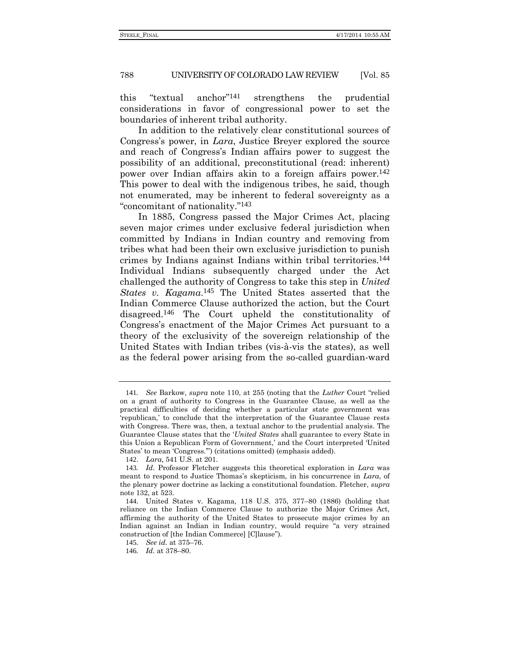this "textual anchor" strengthens the prudential considerations in favor of congressional power to set the boundaries of inherent tribal authority.

In addition to the relatively clear constitutional sources of Congress's power, in *Lara*, Justice Breyer explored the source and reach of Congress's Indian affairs power to suggest the possibility of an additional, preconstitutional (read: inherent) power over Indian affairs akin to a foreign affairs power.142 This power to deal with the indigenous tribes, he said, though not enumerated, may be inherent to federal sovereignty as a "concomitant of nationality." 143

In 1885, Congress passed the Major Crimes Act, placing seven major crimes under exclusive federal jurisdiction when committed by Indians in Indian country and removing from tribes what had been their own exclusive jurisdiction to punish crimes by Indians against Indians within tribal territories.144 Individual Indians subsequently charged under the Act challenged the authority of Congress to take this step in *United States v. Kagama*. 145 The United States asserted that the Indian Commerce Clause authorized the action, but the Court disagreed.146 The Court upheld the constitutionality of Congress's enactment of the Major Crimes Act pursuant to a theory of the exclusivity of the sovereign relationship of the United States with Indian tribes (vis-à-vis the states), as well as the federal power arising from the so-called guardian-ward

<sup>141</sup>*. See* Barkow, *supra* note [110,](#page-21-0) at 255 (noting that the *Luther* Court "relied on a grant of authority to Congress in the Guarantee Clause, as well as the practical difficulties of deciding whether a particular state government was 'republican,' to conclude that the interpretation of the Guarantee Clause rests with Congress. There was, then, a textual anchor to the prudential analysis. The Guarantee Clause states that the '*United States* shall guarantee to every State in this Union a Republican Form of Government,' and the Court interpreted 'United States' to mean 'Congress.'") (citations omitted) (emphasis added).

<sup>142</sup>. *Lara*, 541 U.S. at 201.

<sup>143</sup>*. Id.* Professor Fletcher suggests this theoretical exploration in *Lara* was meant to respond to Justice Thomas's skepticism, in his concurrence in *Lara*, of the plenary power doctrine as lacking a constitutional foundation. Fletcher, *supra*  not[e 132,](#page-27-0) at 523.

<sup>144</sup>. United States v. Kagama, 118 U.S. 375, 377–80 (1886) (holding that reliance on the Indian Commerce Clause to authorize the Major Crimes Act, affirming the authority of the United States to prosecute major crimes by an Indian against an Indian in Indian country, would require "a very strained construction of [the Indian Commerce] [C]lause").

<sup>145</sup>*. See id.* at 375–76.

<sup>146</sup>*. Id.* at 378–80.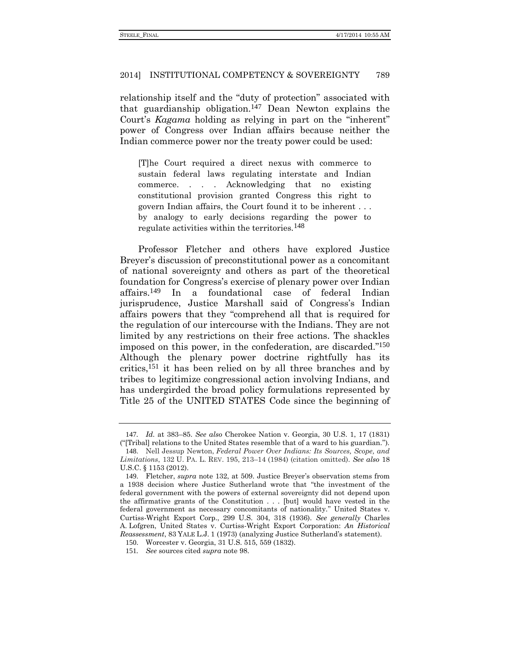relationship itself and the "duty of protection" associated with that guardianship obligation.147 Dean Newton explains the Court's *Kagama* holding as relying in part on the "inherent" power of Congress over Indian affairs because neither the Indian commerce power nor the treaty power could be used:

[T]he Court required a direct nexus with commerce to sustain federal laws regulating interstate and Indian commerce. . . . Acknowledging that no existing constitutional provision granted Congress this right to govern Indian affairs, the Court found it to be inherent . . . by analogy to early decisions regarding the power to regulate activities within the territories.148

Professor Fletcher and others have explored Justice Breyer's discussion of preconstitutional power as a concomitant of national sovereignty and others as part of the theoretical foundation for Congress's exercise of plenary power over Indian affairs.149 In a foundational case of federal Indian jurisprudence, Justice Marshall said of Congress's Indian affairs powers that they "comprehend all that is required for the regulation of our intercourse with the Indians. They are not limited by any restrictions on their free actions. The shackles imposed on this power, in the confederation, are discarded." 150 Although the plenary power doctrine rightfully has its critics,151 it has been relied on by all three branches and by tribes to legitimize congressional action involving Indians, and has undergirded the broad policy formulations represented by Title 25 of the UNITED STATES Code since the beginning of

<sup>147</sup>*. Id.* at 383–85. *See also* Cherokee Nation v. Georgia, 30 U.S. 1, 17 (1831) ("[Tribal] relations to the United States resemble that of a ward to his guardian.").

<sup>148</sup>. Nell Jessup Newton, *Federal Power Over Indians: Its Sources, Scope, and Limitations*, 132 U. PA. L. REV. 195, 213–14 (1984) (citation omitted). *See also* 18 U.S.C. § 1153 (2012).

<sup>149</sup>. Fletcher, *supra* note [132,](#page-27-0) at 509. Justice Breyer's observation stems from a 1938 decision where Justice Sutherland wrote that "the investment of the federal government with the powers of external sovereignty did not depend upon the affirmative grants of the Constitution . . . [but] would have vested in the federal government as necessary concomitants of nationality." United States v. Curtiss-Wright Export Corp., 299 U.S. 304, 318 (1936)*. See generally* Charles A. Lofgren, United States v. Curtiss-Wright Export Corporation: *An Historical Reassessment*, 83 YALE L.J. 1 (1973) (analyzing Justice Sutherland's statement).

<sup>150</sup>. Worcester v. Georgia, 31 U.S. 515, 559 (1832).

<sup>151</sup>*. See* sources cited *supra* not[e 98.](#page-18-0)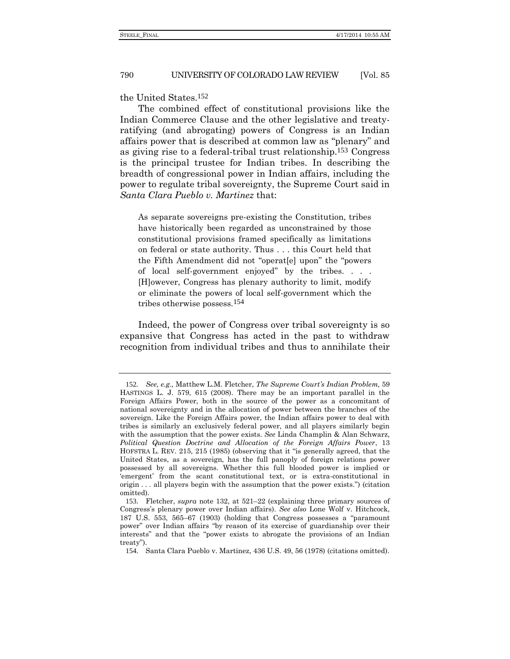the United States.152

The combined effect of constitutional provisions like the Indian Commerce Clause and the other legislative and treatyratifying (and abrogating) powers of Congress is an Indian affairs power that is described at common law as "plenary" and as giving rise to a federal-tribal trust relationship.153 Congress is the principal trustee for Indian tribes. In describing the breadth of congressional power in Indian affairs, including the power to regulate tribal sovereignty, the Supreme Court said in *Santa Clara Pueblo v. Martinez* that:

As separate sovereigns pre-existing the Constitution, tribes have historically been regarded as unconstrained by those constitutional provisions framed specifically as limitations on federal or state authority. Thus . . . this Court held that the Fifth Amendment did not "operat[e] upon" the "powers of local self-government enjoyed" by the tribes. . . . [H]owever, Congress has plenary authority to limit, modify or eliminate the powers of local self-government which the tribes otherwise possess.154

Indeed, the power of Congress over tribal sovereignty is so expansive that Congress has acted in the past to withdraw recognition from individual tribes and thus to annihilate their

<sup>152</sup>*. See, e.g.,* Matthew L.M. Fletcher, *The Supreme Court's Indian Problem,* 59 HASTINGS L. J. 579, 615 (2008). There may be an important parallel in the Foreign Affairs Power, both in the source of the power as a concomitant of national sovereignty and in the allocation of power between the branches of the sovereign. Like the Foreign Affairs power, the Indian affairs power to deal with tribes is similarly an exclusively federal power, and all players similarly begin with the assumption that the power exists. *See* Linda Champlin & Alan Schwarz, *Political Question Doctrine and Allocation of the Foreign Affairs Power*, 13 HOFSTRA L. REV. 215, 215 (1985) (observing that it "is generally agreed, that the United States, as a sovereign, has the full panoply of foreign relations power possessed by all sovereigns. Whether this full blooded power is implied or 'emergent' from the scant constitutional text, or is extra-constitutional in origin . . . all players begin with the assumption that the power exists.") (citation omitted).

<sup>153</sup>. Fletcher, *supra* note [132,](#page-27-0) at 521–22 (explaining three primary sources of Congress's plenary power over Indian affairs). *See also* Lone Wolf v. Hitchcock, 187 U.S. 553, 565–67 (1903) (holding that Congress possesses a "paramount power" over Indian affairs "by reason of its exercise of guardianship over their interests" and that the "power exists to abrogate the provisions of an Indian treaty").

<sup>154</sup>. Santa Clara Pueblo v. Martinez, 436 U.S. 49, 56 (1978) (citations omitted).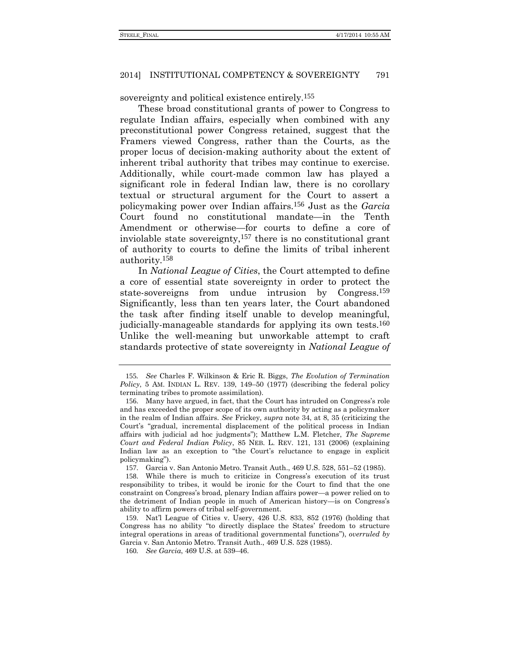sovereignty and political existence entirely.<sup>155</sup>

These broad constitutional grants of power to Congress to regulate Indian affairs, especially when combined with any preconstitutional power Congress retained, suggest that the Framers viewed Congress, rather than the Courts, as the proper locus of decision-making authority about the extent of inherent tribal authority that tribes may continue to exercise. Additionally, while court-made common law has played a significant role in federal Indian law, there is no corollary textual or structural argument for the Court to assert a policymaking power over Indian affairs.156 Just as the *Garcia* Court found no constitutional mandate—in the Tenth Amendment or otherwise—for courts to define a core of inviolable state sovereignty,157 there is no constitutional grant of authority to courts to define the limits of tribal inherent authority.158

In *National League of Cities*, the Court attempted to define a core of essential state sovereignty in order to protect the state-sovereigns from undue intrusion by Congress.159 Significantly, less than ten years later, the Court abandoned the task after finding itself unable to develop meaningful, judicially-manageable standards for applying its own tests.<sup>160</sup> Unlike the well-meaning but unworkable attempt to craft standards protective of state sovereignty in *National League of* 

<sup>155</sup>*. See* Charles F. Wilkinson & Eric R. Biggs, *The Evolution of Termination Policy*, 5 AM. INDIAN L. REV. 139, 149–50 (1977) (describing the federal policy terminating tribes to promote assimilation).

<sup>156</sup>. Many have argued, in fact, that the Court has intruded on Congress's role and has exceeded the proper scope of its own authority by acting as a policymaker in the realm of Indian affairs. *See* Frickey, *supra* note [34,](#page-9-0) at 8, 35 (criticizing the Court's "gradual, incremental displacement of the political process in Indian affairs with judicial ad hoc judgments"); Matthew L.M. Fletcher, *The Supreme Court and Federal Indian Policy*, 85 NEB. L. REV. 121, 131 (2006) (explaining Indian law as an exception to "the Court's reluctance to engage in explicit policymaking").

<sup>157</sup>. Garcia v. San Antonio Metro. Transit Auth., 469 U.S. 528, 551–52 (1985).

<sup>158</sup>. While there is much to criticize in Congress's execution of its trust responsibility to tribes, it would be ironic for the Court to find that the one constraint on Congress's broad, plenary Indian affairs power—a power relied on to the detriment of Indian people in much of American history—is on Congress's ability to affirm powers of tribal self-government.

<sup>159</sup>. Nat'l League of Cities v. Usery, 426 U.S. 833, 852 (1976) (holding that Congress has no ability "to directly displace the States' freedom to structure integral operations in areas of traditional governmental functions"), *overruled by* Garcia v. San Antonio Metro. Transit Auth., 469 U.S. 528 (1985).

<sup>160</sup>*. See Garcia*, 469 U.S. at 539–46.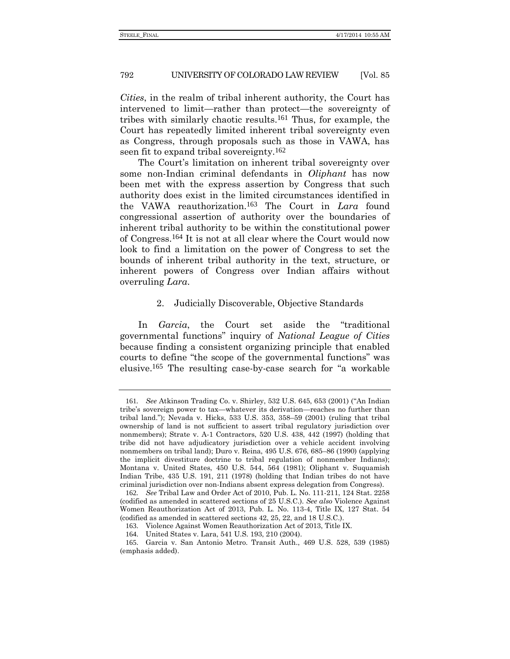<span id="page-33-0"></span>*Cities*, in the realm of tribal inherent authority, the Court has intervened to limit—rather than protect—the sovereignty of tribes with similarly chaotic results.161 Thus, for example, the Court has repeatedly limited inherent tribal sovereignty even as Congress, through proposals such as those in VAWA, has seen fit to expand tribal sovereignty.<sup>162</sup>

The Court's limitation on inherent tribal sovereignty over some non-Indian criminal defendants in *Oliphant* has now been met with the express assertion by Congress that such authority does exist in the limited circumstances identified in the VAWA reauthorization.163 The Court in *Lara* found congressional assertion of authority over the boundaries of inherent tribal authority to be within the constitutional power of Congress.164 It is not at all clear where the Court would now look to find a limitation on the power of Congress to set the bounds of inherent tribal authority in the text, structure, or inherent powers of Congress over Indian affairs without overruling *Lara*.

## 2. Judicially Discoverable, Objective Standards

In *Garcia*, the Court set aside the "traditional governmental functions" inquiry of *National League of Cities* because finding a consistent organizing principle that enabled courts to define "the scope of the governmental functions" was elusive.165 The resulting case-by-case search for "a workable

<sup>161</sup>*. See* Atkinson Trading Co. v. Shirley, 532 U.S. 645, 653 (2001) ("An Indian tribe's sovereign power to tax—whatever its derivation—reaches no further than tribal land."); Nevada v. Hicks, 533 U.S. 353, 358–59 (2001) (ruling that tribal ownership of land is not sufficient to assert tribal regulatory jurisdiction over nonmembers); Strate v. A-1 Contractors, 520 U.S. 438, 442 (1997) (holding that tribe did not have adjudicatory jurisdiction over a vehicle accident involving nonmembers on tribal land); Duro v. Reina, 495 U.S. 676, 685–86 (1990) (applying the implicit divestiture doctrine to tribal regulation of nonmember Indians); Montana v. United States, 450 U.S. 544, 564 (1981); Oliphant v. Suquamish Indian Tribe, 435 U.S. 191, 211 (1978) (holding that Indian tribes do not have criminal jurisdiction over non-Indians absent express delegation from Congress).

<sup>162</sup>*. See* Tribal Law and Order Act of 2010, Pub. L. No. 111-211, 124 Stat. 2258 (codified as amended in scattered sections of 25 U.S.C.). *See also* Violence Against Women Reauthorization Act of 2013, Pub. L. No. 113-4, Title IX, 127 Stat. 54 (codified as amended in scattered sections 42, 25, 22, and 18 U.S.C.).

<sup>163</sup>. Violence Against Women Reauthorization Act of 2013, Title IX.

<sup>164</sup>. United States v. Lara, 541 U.S. 193, 210 (2004).

<sup>165</sup>. Garcia v. San Antonio Metro. Transit Auth., 469 U.S. 528, 539 (1985) (emphasis added).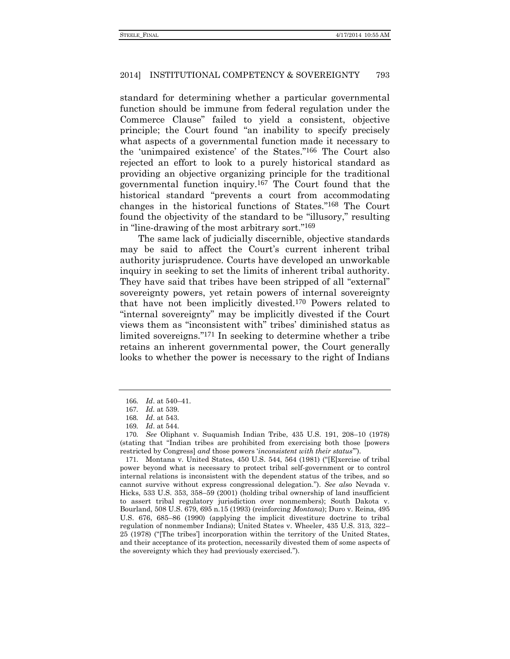standard for determining whether a particular governmental function should be immune from federal regulation under the Commerce Clause" failed to yield a consistent, objective principle; the Court found "an inability to specify precisely what aspects of a governmental function made it necessary to the 'unimpaired existence' of the States." 166 The Court also rejected an effort to look to a purely historical standard as providing an objective organizing principle for the traditional governmental function inquiry.167 The Court found that the historical standard "prevents a court from accommodating changes in the historical functions of States." 168 The Court found the objectivity of the standard to be "illusory," resulting in "line-drawing of the most arbitrary sort." 169

The same lack of judicially discernible, objective standards may be said to affect the Court's current inherent tribal authority jurisprudence. Courts have developed an unworkable inquiry in seeking to set the limits of inherent tribal authority. They have said that tribes have been stripped of all "external" sovereignty powers, yet retain powers of internal sovereignty that have not been implicitly divested.170 Powers related to "internal sovereignty" may be implicitly divested if the Court views them as "inconsistent with" tribes' diminished status as limited sovereigns." 171 In seeking to determine whether a tribe retains an inherent governmental power, the Court generally looks to whether the power is necessary to the right of Indians

171. Montana v. United States, 450 U.S. 544, 564 (1981) ("[E]xercise of tribal power beyond what is necessary to protect tribal self-government or to control internal relations is inconsistent with the dependent status of the tribes, and so cannot survive without express congressional delegation."). *See also* Nevada v. Hicks, 533 U.S. 353, 358–59 (2001) (holding tribal ownership of land insufficient to assert tribal regulatory jurisdiction over nonmembers); South Dakota v. Bourland, 508 U.S. 679, 695 n.15 (1993) (reinforcing *Montana*); Duro v. Reina, 495 U.S. 676, 685–86 (1990) (applying the implicit divestiture doctrine to tribal regulation of nonmember Indians); United States v. Wheeler, 435 U.S. 313, 322– 25 (1978) ("[The tribes'] incorporation within the territory of the United States, and their acceptance of its protection, necessarily divested them of some aspects of the sovereignty which they had previously exercised.").

<sup>166</sup>*. Id*. at 540–41.

<sup>167</sup>*. Id.* at 539.

<sup>168</sup>*. Id*. at 543.

<sup>169</sup>*. Id*. at 544.

<sup>170</sup>*. See* Oliphant v. Suquamish Indian Tribe, 435 U.S. 191, 208–10 (1978) (stating that "Indian tribes are prohibited from exercising both those [powers restricted by Congress] *and* those powers '*inconsistent with their status*'").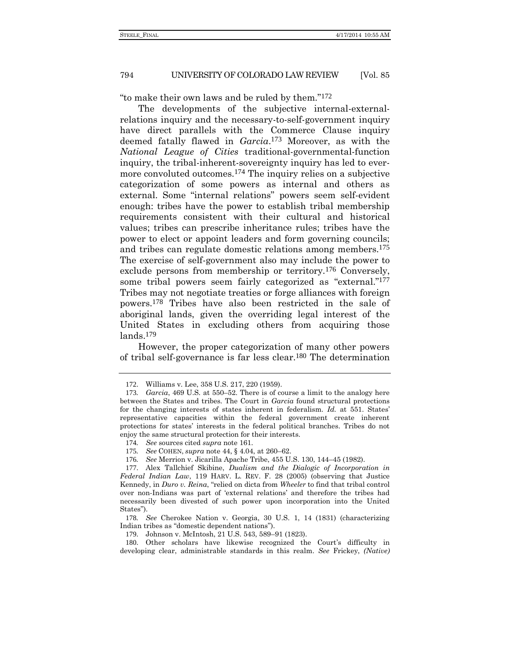"to make their own laws and be ruled by them." 172

The developments of the subjective internal-externalrelations inquiry and the necessary-to-self-government inquiry have direct parallels with the Commerce Clause inquiry deemed fatally flawed in *Garcia*. 173 Moreover, as with the *National League of Cities* traditional-governmental-function inquiry, the tribal-inherent-sovereignty inquiry has led to evermore convoluted outcomes.174 The inquiry relies on a subjective categorization of some powers as internal and others as external. Some "internal relations" powers seem self-evident enough: tribes have the power to establish tribal membership requirements consistent with their cultural and historical values; tribes can prescribe inheritance rules; tribes have the power to elect or appoint leaders and form governing councils; and tribes can regulate domestic relations among members.175 The exercise of self-government also may include the power to exclude persons from membership or territory.176 Conversely, some tribal powers seem fairly categorized as "external."<sup>177</sup> Tribes may not negotiate treaties or forge alliances with foreign powers.178 Tribes have also been restricted in the sale of aboriginal lands, given the overriding legal interest of the United States in excluding others from acquiring those  $lands<sup>179</sup>$ 

However, the proper categorization of many other powers of tribal self-governance is far less clear.180 The determination

178*. See* Cherokee Nation v. Georgia, 30 U.S. 1, 14 (1831) (characterizing Indian tribes as "domestic dependent nations").

<sup>172</sup>. Williams v. Lee, 358 U.S. 217, 220 (1959).

<sup>173</sup>*. Garcia*, 469 U.S*.* at 550–52. There is of course a limit to the analogy here between the States and tribes. The Court in *Garcia* found structural protections for the changing interests of states inherent in federalism. *Id.* at 551. States' representative capacities within the federal government create inherent protections for states' interests in the federal political branches. Tribes do not enjoy the same structural protection for their interests.

<sup>174</sup>*. See* sources cited *supra* not[e 161.](#page-33-0)

<sup>175</sup>*. See* COHEN, *supra* note [44,](#page-11-0) § 4.04, at 260–62.

<sup>176</sup>*. See* Merrion v. Jicarilla Apache Tribe, 455 U.S. 130, 144–45 (1982).

<sup>177</sup>. Alex Tallchief Skibine, *Dualism and the Dialogic of Incorporation in Federal Indian Law*, 119 HARV. L. REV. F. 28 (2005) (observing that Justice Kennedy, in *Duro v. Reina*, "relied on dicta from *Wheeler* to find that tribal control over non-Indians was part of 'external relations' and therefore the tribes had necessarily been divested of such power upon incorporation into the United States").

<sup>179</sup>. Johnson v. McIntosh, 21 U.S. 543, 589–91 (1823).

<sup>180</sup>. Other scholars have likewise recognized the Court's difficulty in developing clear, administrable standards in this realm. *See* Frickey, *(Native)*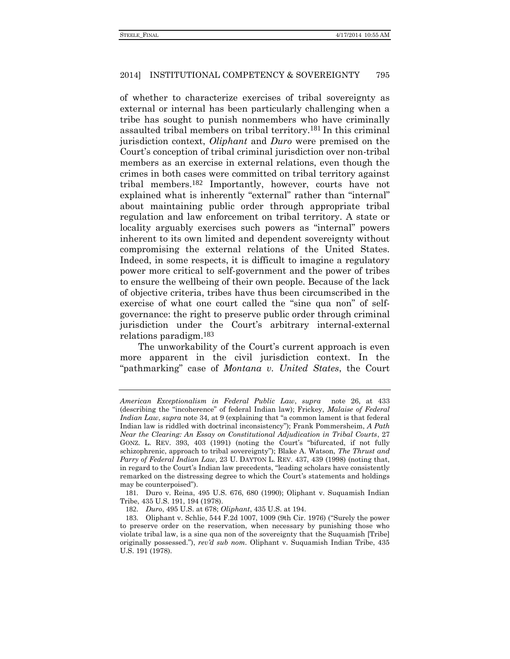of whether to characterize exercises of tribal sovereignty as external or internal has been particularly challenging when a tribe has sought to punish nonmembers who have criminally assaulted tribal members on tribal territory.181 In this criminal jurisdiction context, *Oliphant* and *Duro* were premised on the Court's conception of tribal criminal jurisdiction over non-tribal members as an exercise in external relations, even though the crimes in both cases were committed on tribal territory against tribal members.182 Importantly, however, courts have not explained what is inherently "external" rather than "internal" about maintaining public order through appropriate tribal regulation and law enforcement on tribal territory. A state or locality arguably exercises such powers as "internal" powers inherent to its own limited and dependent sovereignty without compromising the external relations of the United States. Indeed, in some respects, it is difficult to imagine a regulatory power more critical to self-government and the power of tribes to ensure the wellbeing of their own people. Because of the lack of objective criteria, tribes have thus been circumscribed in the exercise of what one court called the "sine qua non" of selfgovernance: the right to preserve public order through criminal jurisdiction under the Court's arbitrary internal-external relations paradigm.183

The unworkability of the Court's current approach is even more apparent in the civil jurisdiction context. In the "pathmarking" case of *Montana v. United States*, the Court

181. Duro v. Reina, 495 U.S. 676, 680 (1990); Oliphant v. Suquamish Indian Tribe, 435 U.S. 191, 194 (1978).

*American Exceptionalism in Federal Public Law*, *supra* note [26,](#page-7-0) at 433 (describing the "incoherence" of federal Indian law); Frickey, *Malaise of Federal Indian Law*, *supra* not[e 34,](#page-9-0) at 9 (explaining that "a common lament is that federal Indian law is riddled with doctrinal inconsistency"); Frank Pommersheim, *A Path Near the Clearing: An Essay on Constitutional Adjudication in Tribal Courts*, 27 GONZ. L. REV. 393, 403 (1991) (noting the Court's "bifurcated, if not fully schizophrenic, approach to tribal sovereignty"); Blake A. Watson, *The Thrust and Parry of Federal Indian Law*, 23 U. DAYTON L. REV. 437, 439 (1998) (noting that, in regard to the Court's Indian law precedents, "leading scholars have consistently remarked on the distressing degree to which the Court's statements and holdings may be counterpoised").

<sup>182</sup>. *Duro*, 495 U.S. at 678; *Oliphant*, 435 U.S. at 194.

<sup>183</sup>. Oliphant v. Schlie, 544 F.2d 1007, 1009 (9th Cir. 1976) ("Surely the power to preserve order on the reservation, when necessary by punishing those who violate tribal law, is a sine qua non of the sovereignty that the Suquamish [Tribe] originally possessed."), *rev'd sub nom.* Oliphant v. Suquamish Indian Tribe, 435 U.S. 191 (1978).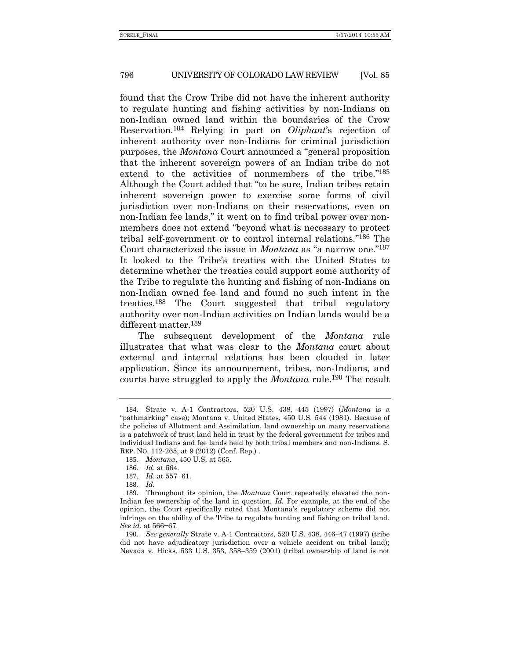found that the Crow Tribe did not have the inherent authority to regulate hunting and fishing activities by non-Indians on non-Indian owned land within the boundaries of the Crow Reservation.184 Relying in part on *Oliphant*'s rejection of inherent authority over non-Indians for criminal jurisdiction purposes, the *Montana* Court announced a "general proposition that the inherent sovereign powers of an Indian tribe do not extend to the activities of nonmembers of the tribe." 185 Although the Court added that "to be sure, Indian tribes retain inherent sovereign power to exercise some forms of civil jurisdiction over non-Indians on their reservations, even on non-Indian fee lands," it went on to find tribal power over nonmembers does not extend "beyond what is necessary to protect tribal self-government or to control internal relations." 186 The Court characterized the issue in *Montana* as "a narrow one." 187 It looked to the Tribe's treaties with the United States to determine whether the treaties could support some authority of the Tribe to regulate the hunting and fishing of non-Indians on non-Indian owned fee land and found no such intent in the treaties.188 The Court suggested that tribal regulatory authority over non-Indian activities on Indian lands would be a different matter.189

The subsequent development of the *Montana* rule illustrates that what was clear to the *Montana* court about external and internal relations has been clouded in later application. Since its announcement, tribes, non-Indians, and courts have struggled to apply the *Montana* rule.190 The result

<sup>184</sup>. Strate v. A-1 Contractors, 520 U.S. 438, 445 (1997) (*Montana* is a "pathmarking" case); Montana v. United States, 450 U.S. 544 (1981). Because of the policies of Allotment and Assimilation, land ownership on many reservations is a patchwork of trust land held in trust by the federal government for tribes and individual Indians and fee lands held by both tribal members and non-Indians. S. REP. NO. 112-265, at 9 (2012) (Conf. Rep.) .

<sup>185</sup>*. Montana*, 450 U.S. at 565.

<sup>186</sup>*. Id*. at 564.

<sup>187</sup>*. Id*. at 557−61.

<sup>188</sup>*. Id.*

<sup>189</sup>. Throughout its opinion, the *Montana* Court repeatedly elevated the non-Indian fee ownership of the land in question. *Id.* For example, at the end of the opinion, the Court specifically noted that Montana's regulatory scheme did not infringe on the ability of the Tribe to regulate hunting and fishing on tribal land. *See id*. at 566−67.

<sup>190</sup>*. See generally* Strate v. A-1 Contractors, 520 U.S. 438, 446–47 (1997) (tribe did not have adjudicatory jurisdiction over a vehicle accident on tribal land); Nevada v. Hicks, 533 U.S. 353, 358–359 (2001) (tribal ownership of land is not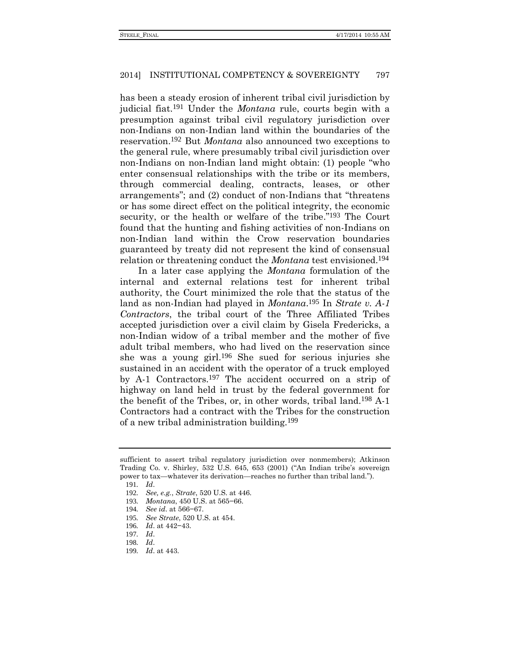has been a steady erosion of inherent tribal civil jurisdiction by judicial fiat.191 Under the *Montana* rule, courts begin with a presumption against tribal civil regulatory jurisdiction over non-Indians on non-Indian land within the boundaries of the reservation.192 But *Montana* also announced two exceptions to the general rule, where presumably tribal civil jurisdiction over non-Indians on non-Indian land might obtain: (1) people "who enter consensual relationships with the tribe or its members, through commercial dealing, contracts, leases, or other arrangements"; and (2) conduct of non-Indians that "threatens or has some direct effect on the political integrity, the economic security, or the health or welfare of the tribe."<sup>193</sup> The Court found that the hunting and fishing activities of non-Indians on non-Indian land within the Crow reservation boundaries guaranteed by treaty did not represent the kind of consensual relation or threatening conduct the *Montana* test envisioned.194

In a later case applying the *Montana* formulation of the internal and external relations test for inherent tribal authority, the Court minimized the role that the status of the land as non-Indian had played in *Montana*. 195 In *Strate v. A-1 Contractors*, the tribal court of the Three Affiliated Tribes accepted jurisdiction over a civil claim by Gisela Fredericks, a non-Indian widow of a tribal member and the mother of five adult tribal members, who had lived on the reservation since she was a young girl. 196 She sued for serious injuries she sustained in an accident with the operator of a truck employed by A-1 Contractors.197 The accident occurred on a strip of highway on land held in trust by the federal government for the benefit of the Tribes, or, in other words, tribal land.198 A-1 Contractors had a contract with the Tribes for the construction of a new tribal administration building.199

- 195*. See Strate*, 520 U.S. at 454.
- 196*. Id*. at 442−43.
- 197*. Id*.
- 198*. Id*.
- 199*. Id*. at 443.

sufficient to assert tribal regulatory jurisdiction over nonmembers); Atkinson Trading Co. v. Shirley, 532 U.S. 645, 653 (2001) ("An Indian tribe's sovereign power to tax—whatever its derivation—reaches no further than tribal land.").

<sup>191</sup>*. Id*.

<sup>192</sup>*. See, e.g.*, *Strate*, 520 U.S. at 446.

<sup>193</sup>*. Montana*, 450 U.S. at 565−66.

<sup>194</sup>*. See id*. at 566−67.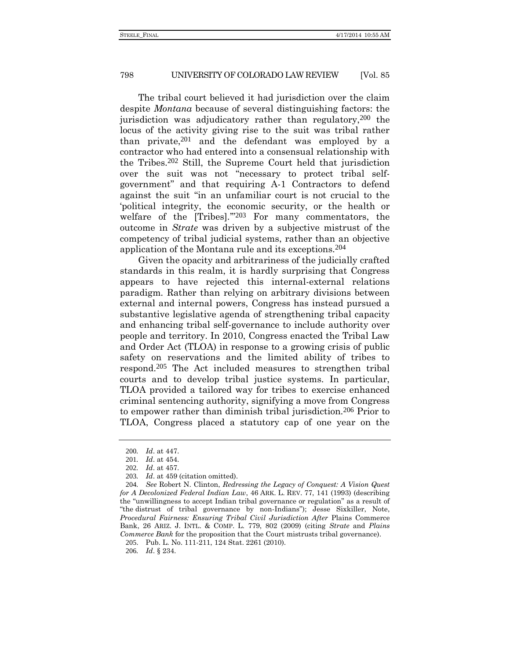The tribal court believed it had jurisdiction over the claim despite *Montana* because of several distinguishing factors: the jurisdiction was adjudicatory rather than regulatory,200 the locus of the activity giving rise to the suit was tribal rather than private, $201$  and the defendant was employed by a contractor who had entered into a consensual relationship with the Tribes.202 Still, the Supreme Court held that jurisdiction over the suit was not "necessary to protect tribal selfgovernment" and that requiring A-1 Contractors to defend against the suit "in an unfamiliar court is not crucial to the 'political integrity, the economic security, or the health or welfare of the [Tribes]."<sup>203</sup> For many commentators, the outcome in *Strate* was driven by a subjective mistrust of the competency of tribal judicial systems, rather than an objective application of the Montana rule and its exceptions.204

Given the opacity and arbitrariness of the judicially crafted standards in this realm, it is hardly surprising that Congress appears to have rejected this internal-external relations paradigm. Rather than relying on arbitrary divisions between external and internal powers, Congress has instead pursued a substantive legislative agenda of strengthening tribal capacity and enhancing tribal self-governance to include authority over people and territory. In 2010, Congress enacted the Tribal Law and Order Act (TLOA) in response to a growing crisis of public safety on reservations and the limited ability of tribes to respond.205 The Act included measures to strengthen tribal courts and to develop tribal justice systems. In particular, TLOA provided a tailored way for tribes to exercise enhanced criminal sentencing authority, signifying a move from Congress to empower rather than diminish tribal jurisdiction.206 Prior to TLOA, Congress placed a statutory cap of one year on the

<sup>200</sup>*. Id*. at 447.

<sup>201</sup>*. Id*. at 454.

<sup>202</sup>*. Id*. at 457.

<sup>203</sup>*. Id*. at 459 (citation omitted).

<sup>204</sup>*. See* Robert N. Clinton, *Redressing the Legacy of Conquest: A Vision Quest for A Decolonized Federal Indian Law*, 46 ARK. L. REV. 77, 141 (1993) (describing the "unwillingness to accept Indian tribal governance or regulation" as a result of "the distrust of tribal governance by non-Indians"); Jesse Sixkiller, Note, *Procedural Fairness: Ensuring Tribal Civil Jurisdiction After* Plains Commerce Bank, 26 ARIZ. J. INTL. & COMP. L. 779, 802 (2009) (citing *Strate* and *Plains Commerce Bank* for the proposition that the Court mistrusts tribal governance).

<sup>205</sup>. Pub. L. No. 111-211, 124 Stat. 2261 (2010).

<sup>206</sup>*. Id*. § 234.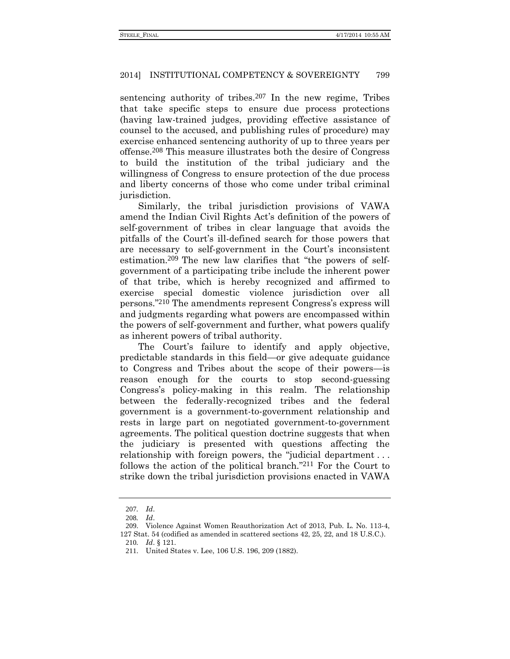sentencing authority of tribes.<sup>207</sup> In the new regime, Tribes that take specific steps to ensure due process protections (having law-trained judges, providing effective assistance of counsel to the accused, and publishing rules of procedure) may exercise enhanced sentencing authority of up to three years per offense.208 This measure illustrates both the desire of Congress to build the institution of the tribal judiciary and the willingness of Congress to ensure protection of the due process and liberty concerns of those who come under tribal criminal jurisdiction.

Similarly, the tribal jurisdiction provisions of VAWA amend the Indian Civil Rights Act's definition of the powers of self-government of tribes in clear language that avoids the pitfalls of the Court's ill-defined search for those powers that are necessary to self-government in the Court's inconsistent estimation.209 The new law clarifies that "the powers of selfgovernment of a participating tribe include the inherent power of that tribe, which is hereby recognized and affirmed to exercise special domestic violence jurisdiction over all persons." 210 The amendments represent Congress's express will and judgments regarding what powers are encompassed within the powers of self-government and further, what powers qualify as inherent powers of tribal authority.

The Court's failure to identify and apply objective, predictable standards in this field—or give adequate guidance to Congress and Tribes about the scope of their powers—is reason enough for the courts to stop second-guessing Congress's policy-making in this realm. The relationship between the federally-recognized tribes and the federal government is a government-to-government relationship and rests in large part on negotiated government-to-government agreements. The political question doctrine suggests that when the judiciary is presented with questions affecting the relationship with foreign powers, the "judicial department . . . follows the action of the political branch." 211 For the Court to strike down the tribal jurisdiction provisions enacted in VAWA

<sup>207</sup>*. Id*.

<sup>208</sup>*. Id*.

<sup>209</sup>. Violence Against Women Reauthorization Act of 2013, Pub. L. No. 113-4, 127 Stat. 54 (codified as amended in scattered sections 42, 25, 22, and 18 U.S.C.).

<sup>210</sup>*. Id*. § 121.

<sup>211</sup>. United States v. Lee, 106 U.S. 196, 209 (1882).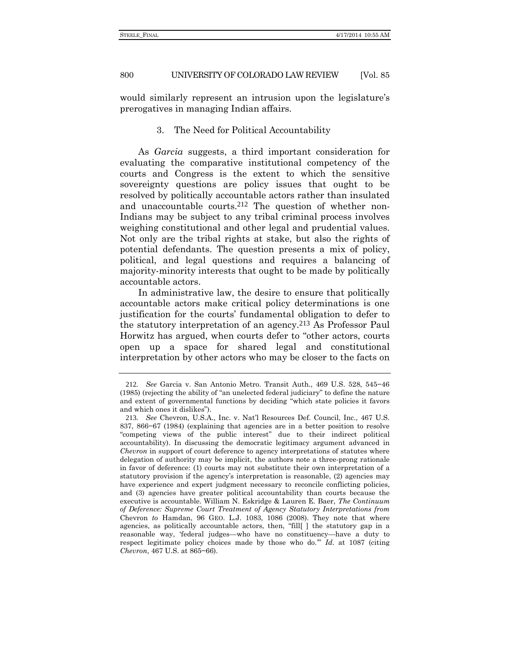would similarly represent an intrusion upon the legislature's prerogatives in managing Indian affairs.

3. The Need for Political Accountability

As *Garcia* suggests, a third important consideration for evaluating the comparative institutional competency of the courts and Congress is the extent to which the sensitive sovereignty questions are policy issues that ought to be resolved by politically accountable actors rather than insulated and unaccountable courts.<sup>212</sup> The question of whether non-Indians may be subject to any tribal criminal process involves weighing constitutional and other legal and prudential values. Not only are the tribal rights at stake, but also the rights of potential defendants. The question presents a mix of policy, political, and legal questions and requires a balancing of majority-minority interests that ought to be made by politically accountable actors.

In administrative law, the desire to ensure that politically accountable actors make critical policy determinations is one justification for the courts' fundamental obligation to defer to the statutory interpretation of an agency.213 As Professor Paul Horwitz has argued, when courts defer to "other actors, courts open up a space for shared legal and constitutional interpretation by other actors who may be closer to the facts on

<sup>212</sup>*. See* Garcia v. San Antonio Metro. Transit Auth., 469 U.S. 528, 545−46 (1985) (rejecting the ability of "an unelected federal judiciary" to define the nature and extent of governmental functions by deciding "which state policies it favors and which ones it dislikes").

<sup>213</sup>*. See* Chevron, U.S.A., Inc. v. Nat'l Resources Def. Council, Inc., 467 U.S. 837, 866−67 (1984) (explaining that agencies are in a better position to resolve "competing views of the public interest" due to their indirect political accountability). In discussing the democratic legitimacy argument advanced in *Chevron* in support of court deference to agency interpretations of statutes where delegation of authority may be implicit, the authors note a three-prong rationale in favor of deference: (1) courts may not substitute their own interpretation of a statutory provision if the agency's interpretation is reasonable, (2) agencies may have experience and expert judgment necessary to reconcile conflicting policies, and (3) agencies have greater political accountability than courts because the executive is accountable. William N. Eskridge & Lauren E. Baer, *The Continuum of Deference: Supreme Court Treatment of Agency Statutory Interpretations from*  Chevron *to* Hamdan, 96 GEO. L.J. 1083, 1086 (2008). They note that where agencies, as politically accountable actors, then, "fill[ ] the statutory gap in a reasonable way, 'federal judges—who have no constituency—have a duty to respect legitimate policy choices made by those who do.'" *Id*. at 1087 (citing *Chevron*, 467 U.S. at 865−66).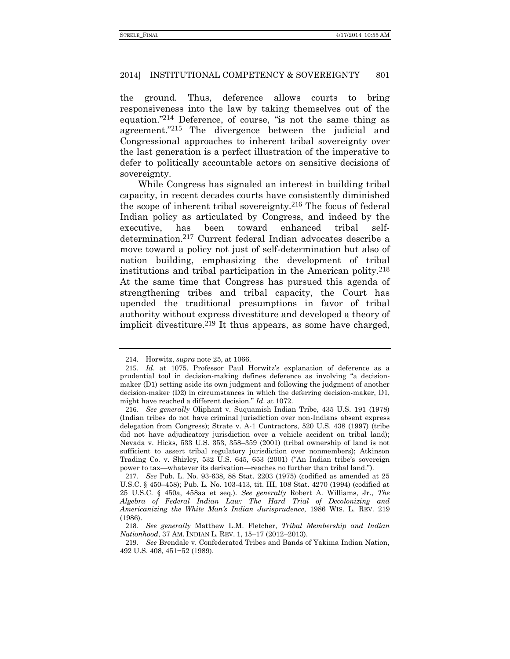the ground. Thus, deference allows courts to bring responsiveness into the law by taking themselves out of the equation." 214 Deference, of course, "is not the same thing as agreement." 215 The divergence between the judicial and Congressional approaches to inherent tribal sovereignty over the last generation is a perfect illustration of the imperative to defer to politically accountable actors on sensitive decisions of sovereignty.

While Congress has signaled an interest in building tribal capacity, in recent decades courts have consistently diminished the scope of inherent tribal sovereignty.216 The focus of federal Indian policy as articulated by Congress, and indeed by the executive, has been toward enhanced tribal selfdetermination.217 Current federal Indian advocates describe a move toward a policy not just of self-determination but also of nation building, emphasizing the development of tribal institutions and tribal participation in the American polity.218 At the same time that Congress has pursued this agenda of strengthening tribes and tribal capacity, the Court has upended the traditional presumptions in favor of tribal authority without express divestiture and developed a theory of implicit divestiture.<sup>219</sup> It thus appears, as some have charged,

<sup>214</sup>. Horwitz, *supra* not[e 25,](#page-5-1) at 1066.

<sup>215</sup>*. Id*. at 1075. Professor Paul Horwitz's explanation of deference as a prudential tool in decision-making defines deference as involving "a decisionmaker (D1) setting aside its own judgment and following the judgment of another decision-maker (D2) in circumstances in which the deferring decision-maker, D1, might have reached a different decision." *Id*. at 1072.

<sup>216</sup>*. See generally* Oliphant v. Suquamish Indian Tribe, 435 U.S. 191 (1978) (Indian tribes do not have criminal jurisdiction over non-Indians absent express delegation from Congress); Strate v. A-1 Contractors, 520 U.S. 438 (1997) (tribe did not have adjudicatory jurisdiction over a vehicle accident on tribal land); Nevada v. Hicks, 533 U.S. 353, 358–359 (2001) (tribal ownership of land is not sufficient to assert tribal regulatory jurisdiction over nonmembers); Atkinson Trading Co. v. Shirley, 532 U.S. 645, 653 (2001) ("An Indian tribe's sovereign power to tax—whatever its derivation—reaches no further than tribal land.").

<sup>217</sup>*. See* Pub. L. No. 93-638, 88 Stat. 2203 (1975) (codified as amended at 25 U.S.C. § 450–458); Pub. L. No. 103-413, tit. III, 108 Stat. 4270 (1994) (codified at 25 U.S.C. § 450a, 458aa et seq.). *See generally* Robert A. Williams, Jr., *The Algebra of Federal Indian Law: The Hard Trial of Decolonizing and Americanizing the White Man's Indian Jurisprudence*, 1986 WIS. L. REV. 219 (1986).

<sup>218</sup>*. See generally* Matthew L.M. Fletcher, *Tribal Membership and Indian Nationhood*, 37 AM. INDIAN L. REV. 1, 15–17 (2012–2013).

<sup>219</sup>*. See* Brendale v. Confederated Tribes and Bands of Yakima Indian Nation, 492 U.S. 408, 451−52 (1989).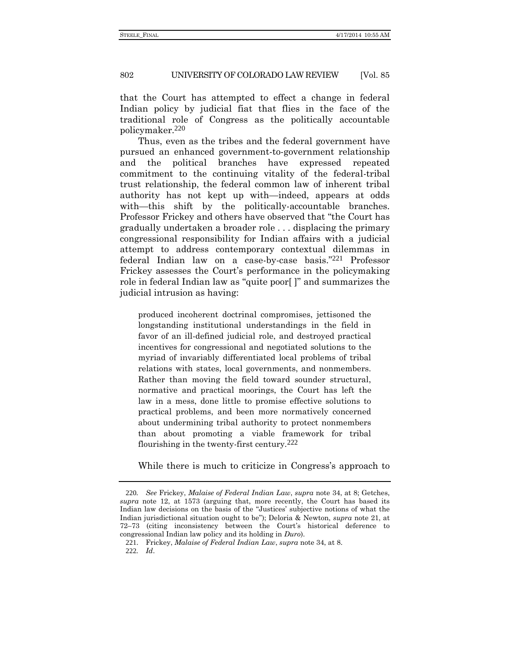that the Court has attempted to effect a change in federal Indian policy by judicial fiat that flies in the face of the traditional role of Congress as the politically accountable policymaker.220

Thus, even as the tribes and the federal government have pursued an enhanced government-to-government relationship and the political branches have expressed repeated commitment to the continuing vitality of the federal-tribal trust relationship, the federal common law of inherent tribal authority has not kept up with—indeed, appears at odds with—this shift by the politically-accountable branches. Professor Frickey and others have observed that "the Court has gradually undertaken a broader role . . . displacing the primary congressional responsibility for Indian affairs with a judicial attempt to address contemporary contextual dilemmas in federal Indian law on a case-by-case basis." 221 Professor Frickey assesses the Court's performance in the policymaking role in federal Indian law as "quite poor[ ]" and summarizes the judicial intrusion as having:

produced incoherent doctrinal compromises, jettisoned the longstanding institutional understandings in the field in favor of an ill-defined judicial role, and destroyed practical incentives for congressional and negotiated solutions to the myriad of invariably differentiated local problems of tribal relations with states, local governments, and nonmembers. Rather than moving the field toward sounder structural, normative and practical moorings, the Court has left the law in a mess, done little to promise effective solutions to practical problems, and been more normatively concerned about undermining tribal authority to protect nonmembers than about promoting a viable framework for tribal flourishing in the twenty-first century.222

While there is much to criticize in Congress's approach to

<sup>220</sup>*. See* Frickey, *Malaise of Federal Indian Law*, *supra* note [34,](#page-9-0) at 8; Getches, *supra* note [12,](#page-3-1) at 1573 (arguing that, more recently, the Court has based its Indian law decisions on the basis of the "Justices' subjective notions of what the Indian jurisdictional situation ought to be"); Deloria & Newton, *supra* note [21,](#page-5-0) at 72–73 (citing inconsistency between the Court's historical deference to congressional Indian law policy and its holding in *Duro*).

<sup>221</sup>. Frickey, *Malaise of Federal Indian Law*, *supra* not[e 34,](#page-9-0) at 8. 222*. Id*.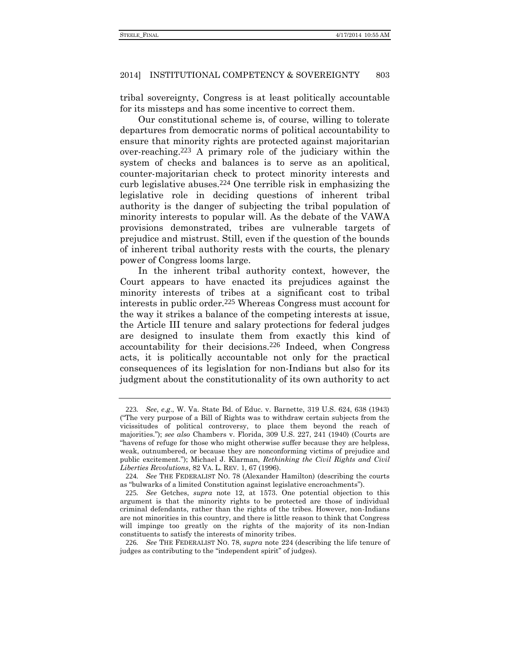tribal sovereignty, Congress is at least politically accountable for its missteps and has some incentive to correct them.

<span id="page-44-0"></span>Our constitutional scheme is, of course, willing to tolerate departures from democratic norms of political accountability to ensure that minority rights are protected against majoritarian over-reaching.223 A primary role of the judiciary within the system of checks and balances is to serve as an apolitical, counter-majoritarian check to protect minority interests and curb legislative abuses.224 One terrible risk in emphasizing the legislative role in deciding questions of inherent tribal authority is the danger of subjecting the tribal population of minority interests to popular will. As the debate of the VAWA provisions demonstrated, tribes are vulnerable targets of prejudice and mistrust. Still, even if the question of the bounds of inherent tribal authority rests with the courts, the plenary power of Congress looms large.

In the inherent tribal authority context, however, the Court appears to have enacted its prejudices against the minority interests of tribes at a significant cost to tribal interests in public order.225 Whereas Congress must account for the way it strikes a balance of the competing interests at issue, the Article III tenure and salary protections for federal judges are designed to insulate them from exactly this kind of accountability for their decisions.226 Indeed, when Congress acts, it is politically accountable not only for the practical consequences of its legislation for non-Indians but also for its judgment about the constitutionality of its own authority to act

<sup>223</sup>*. See*, *e*.*g*., W. Va. State Bd. of Educ. v. Barnette, 319 U.S. 624, 638 (1943) ("The very purpose of a Bill of Rights was to withdraw certain subjects from the vicissitudes of political controversy, to place them beyond the reach of majorities."); *see also* Chambers v. Florida, 309 U.S. 227, 241 (1940) (Courts are "havens of refuge for those who might otherwise suffer because they are helpless, weak, outnumbered, or because they are nonconforming victims of prejudice and public excitement."); Michael J. Klarman, *Rethinking the Civil Rights and Civil Liberties Revolutions*, 82 VA. L. REV. 1, 67 (1996).

<sup>224</sup>*. See* THE FEDERALIST NO. 78 (Alexander Hamilton) (describing the courts as "bulwarks of a limited Constitution against legislative encroachments").

<sup>225</sup>*. See* Getches, *supra* note [12,](#page-3-1) at 1573. One potential objection to this argument is that the minority rights to be protected are those of individual criminal defendants, rather than the rights of the tribes. However, non-Indians are not minorities in this country, and there is little reason to think that Congress will impinge too greatly on the rights of the majority of its non-Indian constituents to satisfy the interests of minority tribes.

<sup>226</sup>*. See* THE FEDERALIST NO. 78, *supra* note [224](#page-44-0) (describing the life tenure of judges as contributing to the "independent spirit" of judges).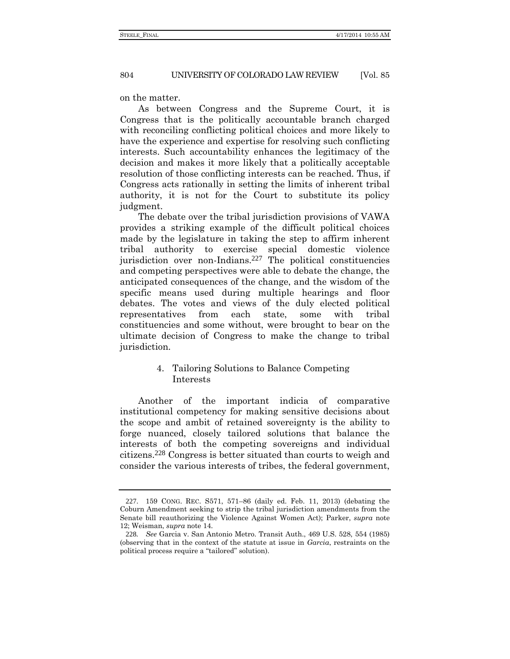on the matter.

As between Congress and the Supreme Court, it is Congress that is the politically accountable branch charged with reconciling conflicting political choices and more likely to have the experience and expertise for resolving such conflicting interests. Such accountability enhances the legitimacy of the decision and makes it more likely that a politically acceptable resolution of those conflicting interests can be reached. Thus, if Congress acts rationally in setting the limits of inherent tribal authority, it is not for the Court to substitute its policy judgment.

The debate over the tribal jurisdiction provisions of VAWA provides a striking example of the difficult political choices made by the legislature in taking the step to affirm inherent tribal authority to exercise special domestic violence jurisdiction over non-Indians.227 The political constituencies and competing perspectives were able to debate the change, the anticipated consequences of the change, and the wisdom of the specific means used during multiple hearings and floor debates. The votes and views of the duly elected political representatives from each state, some with tribal constituencies and some without, were brought to bear on the ultimate decision of Congress to make the change to tribal jurisdiction.

# 4. Tailoring Solutions to Balance Competing Interests

Another of the important indicia of comparative institutional competency for making sensitive decisions about the scope and ambit of retained sovereignty is the ability to forge nuanced, closely tailored solutions that balance the interests of both the competing sovereigns and individual citizens.228 Congress is better situated than courts to weigh and consider the various interests of tribes, the federal government,

<sup>227</sup>. 159 CONG. REC. S571, 571–86 (daily ed. Feb. 11, 2013) (debating the Coburn Amendment seeking to strip the tribal jurisdiction amendments from the Senate bill reauthorizing the Violence Against Women Act); Parker, *supra* note [12;](#page-3-1) Weisman, *supra* note [14.](#page-3-0)

<sup>228</sup>*. See* Garcia v. San Antonio Metro. Transit Auth., 469 U.S. 528, 554 (1985) (observing that in the context of the statute at issue in *Garcia*, restraints on the political process require a "tailored" solution).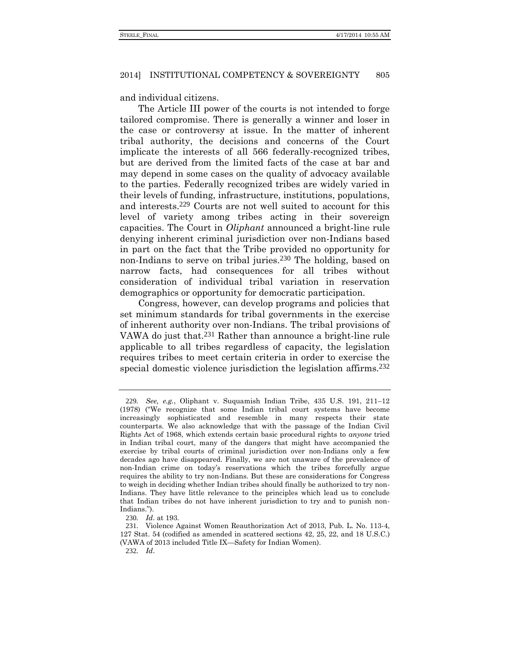and individual citizens.

The Article III power of the courts is not intended to forge tailored compromise. There is generally a winner and loser in the case or controversy at issue. In the matter of inherent tribal authority, the decisions and concerns of the Court implicate the interests of all 566 federally-recognized tribes, but are derived from the limited facts of the case at bar and may depend in some cases on the quality of advocacy available to the parties. Federally recognized tribes are widely varied in their levels of funding, infrastructure, institutions, populations, and interests.229 Courts are not well suited to account for this level of variety among tribes acting in their sovereign capacities. The Court in *Oliphant* announced a bright-line rule denying inherent criminal jurisdiction over non-Indians based in part on the fact that the Tribe provided no opportunity for non-Indians to serve on tribal juries.<sup>230</sup> The holding, based on narrow facts, had consequences for all tribes without consideration of individual tribal variation in reservation demographics or opportunity for democratic participation.

Congress, however, can develop programs and policies that set minimum standards for tribal governments in the exercise of inherent authority over non-Indians. The tribal provisions of VAWA do just that.231 Rather than announce a bright-line rule applicable to all tribes regardless of capacity, the legislation requires tribes to meet certain criteria in order to exercise the special domestic violence jurisdiction the legislation affirms.<sup>232</sup>

<sup>229</sup>*. See, e.g.*, Oliphant v. Suquamish Indian Tribe, 435 U.S. 191, 211–12 (1978) ("We recognize that some Indian tribal court systems have become increasingly sophisticated and resemble in many respects their state counterparts. We also acknowledge that with the passage of the Indian Civil Rights Act of 1968, which extends certain basic procedural rights to *anyone* tried in Indian tribal court, many of the dangers that might have accompanied the exercise by tribal courts of criminal jurisdiction over non-Indians only a few decades ago have disappeared. Finally, we are not unaware of the prevalence of non-Indian crime on today's reservations which the tribes forcefully argue requires the ability to try non-Indians. But these are considerations for Congress to weigh in deciding whether Indian tribes should finally be authorized to try non-Indians. They have little relevance to the principles which lead us to conclude that Indian tribes do not have inherent jurisdiction to try and to punish non-Indians.").

<sup>230</sup>*. Id*. at 193.

<sup>231</sup>. Violence Against Women Reauthorization Act of 2013, Pub. L. No. 113-4, 127 Stat. 54 (codified as amended in scattered sections 42, 25, 22, and 18 U.S.C.) (VAWA of 2013 included Title IX—Safety for Indian Women).

<sup>232</sup>*. Id*.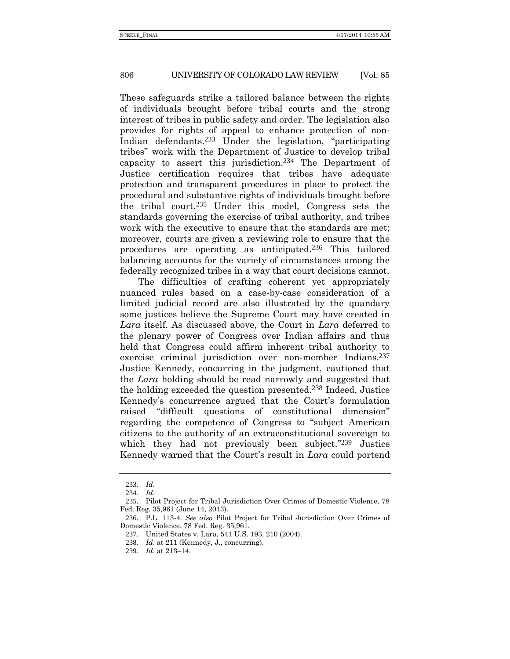These safeguards strike a tailored balance between the rights of individuals brought before tribal courts and the strong interest of tribes in public safety and order. The legislation also provides for rights of appeal to enhance protection of non-Indian defendants.233 Under the legislation, "participating tribes" work with the Department of Justice to develop tribal capacity to assert this jurisdiction.234 The Department of Justice certification requires that tribes have adequate protection and transparent procedures in place to protect the procedural and substantive rights of individuals brought before the tribal court.235 Under this model, Congress sets the standards governing the exercise of tribal authority, and tribes work with the executive to ensure that the standards are met; moreover, courts are given a reviewing role to ensure that the procedures are operating as anticipated.236 This tailored balancing accounts for the variety of circumstances among the federally recognized tribes in a way that court decisions cannot.

The difficulties of crafting coherent yet appropriately nuanced rules based on a case-by-case consideration of a limited judicial record are also illustrated by the quandary some justices believe the Supreme Court may have created in *Lara* itself. As discussed above, the Court in *Lara* deferred to the plenary power of Congress over Indian affairs and thus held that Congress could affirm inherent tribal authority to exercise criminal jurisdiction over non-member Indians.<sup>237</sup> Justice Kennedy, concurring in the judgment, cautioned that the *Lara* holding should be read narrowly and suggested that the holding exceeded the question presented.238 Indeed, Justice Kennedy's concurrence argued that the Court's formulation raised "difficult questions of constitutional dimension" regarding the competence of Congress to "subject American citizens to the authority of an extraconstitutional sovereign to which they had not previously been subject."<sup>239</sup> Justice Kennedy warned that the Court's result in *Lara* could portend

<sup>233</sup>*. Id*.

<sup>234</sup>*. Id*.

<sup>235</sup>. Pilot Project for Tribal Jurisdiction Over Crimes of Domestic Violence, 78 Fed. Reg. 35,961 (June 14, 2013).

<sup>236</sup>. P.L. 113-4. *See also* Pilot Project for Tribal Jurisdiction Over Crimes of Domestic Violence, 78 Fed. Reg. 35,961.

<sup>237</sup>. United States v. Lara, 541 U.S. 193, 210 (2004).

<sup>238</sup>*. Id*. at 211 (Kennedy, J., concurring).

<sup>239</sup>*. Id*. at 213–14.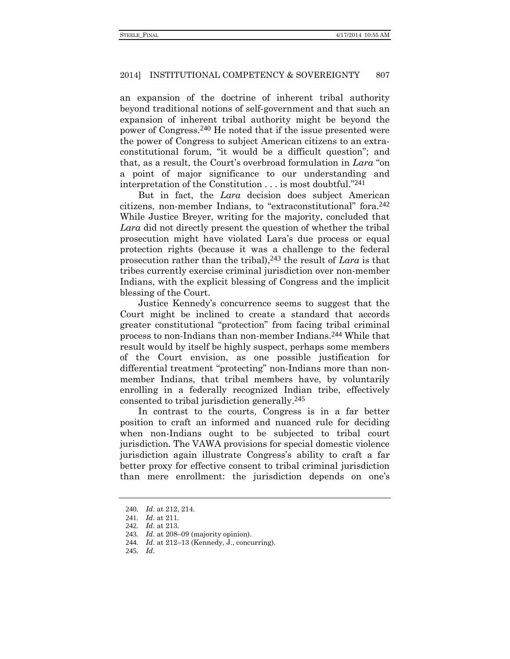an expansion of the doctrine of inherent tribal authority beyond traditional notions of self-government and that such an expansion of inherent tribal authority might be beyond the power of Congress.240 He noted that if the issue presented were the power of Congress to subject American citizens to an extraconstitutional forum, "it would be a difficult question"; and that, as a result, the Court's overbroad formulation in *Lara* "on a point of major significance to our understanding and interpretation of the Constitution . . . is most doubtful." 241

But in fact, the *Lara* decision does subject American citizens, non-member Indians, to "extraconstitutional" fora.242 While Justice Breyer, writing for the majority, concluded that *Lara* did not directly present the question of whether the tribal prosecution might have violated Lara's due process or equal protection rights (because it was a challenge to the federal prosecution rather than the tribal),243 the result of *Lara* is that tribes currently exercise criminal jurisdiction over non-member Indians, with the explicit blessing of Congress and the implicit blessing of the Court.

Justice Kennedy's concurrence seems to suggest that the Court might be inclined to create a standard that accords greater constitutional "protection" from facing tribal criminal process to non-Indians than non-member Indians.244 While that result would by itself be highly suspect, perhaps some members of the Court envision, as one possible justification for differential treatment "protecting" non-Indians more than nonmember Indians, that tribal members have, by voluntarily enrolling in a federally recognized Indian tribe, effectively consented to tribal jurisdiction generally.245

In contrast to the courts, Congress is in a far better position to craft an informed and nuanced rule for deciding when non-Indians ought to be subjected to tribal court jurisdiction. The VAWA provisions for special domestic violence jurisdiction again illustrate Congress's ability to craft a far better proxy for effective consent to tribal criminal jurisdiction than mere enrollment: the jurisdiction depends on one's

245*. Id*.

<sup>240</sup>*. Id*. at 212, 214.

<sup>241</sup>*. Id*. at 211.

<sup>242</sup>*. Id*. at 213.

<sup>243</sup>*. Id*. at 208–09 (majority opinion).

<sup>244</sup>*. Id*. at 212–13 (Kennedy, J., concurring).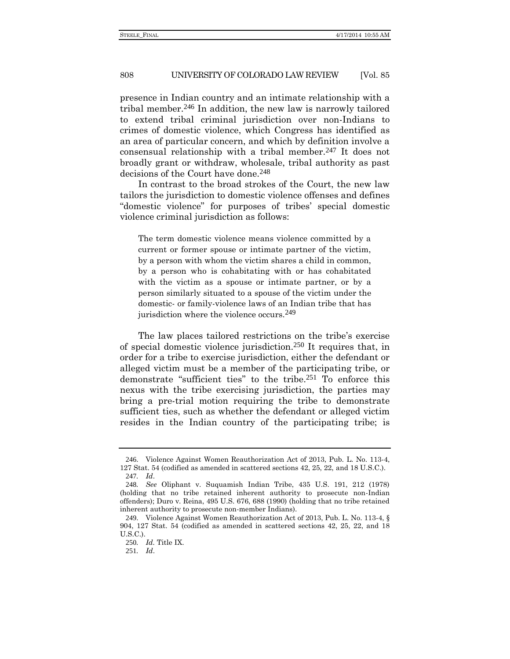presence in Indian country and an intimate relationship with a tribal member.246 In addition, the new law is narrowly tailored to extend tribal criminal jurisdiction over non-Indians to crimes of domestic violence, which Congress has identified as an area of particular concern, and which by definition involve a consensual relationship with a tribal member.247 It does not broadly grant or withdraw, wholesale, tribal authority as past decisions of the Court have done.248

In contrast to the broad strokes of the Court, the new law tailors the jurisdiction to domestic violence offenses and defines "domestic violence" for purposes of tribes' special domestic violence criminal jurisdiction as follows:

The term domestic violence means violence committed by a current or former spouse or intimate partner of the victim, by a person with whom the victim shares a child in common, by a person who is cohabitating with or has cohabitated with the victim as a spouse or intimate partner, or by a person similarly situated to a spouse of the victim under the domestic- or family-violence laws of an Indian tribe that has jurisdiction where the violence occurs.<sup>249</sup>

The law places tailored restrictions on the tribe's exercise of special domestic violence jurisdiction.250 It requires that, in order for a tribe to exercise jurisdiction, either the defendant or alleged victim must be a member of the participating tribe, or demonstrate "sufficient ties" to the tribe.251 To enforce this nexus with the tribe exercising jurisdiction, the parties may bring a pre-trial motion requiring the tribe to demonstrate sufficient ties, such as whether the defendant or alleged victim resides in the Indian country of the participating tribe; is

<sup>246</sup>. Violence Against Women Reauthorization Act of 2013, Pub. L. No. 113-4, 127 Stat. 54 (codified as amended in scattered sections 42, 25, 22, and 18 U.S.C.). 247*. Id*.

<sup>248</sup>*. See* Oliphant v. Suquamish Indian Tribe, 435 U.S. 191, 212 (1978) (holding that no tribe retained inherent authority to prosecute non-Indian offenders); Duro v. Reina, 495 U.S. 676, 688 (1990) (holding that no tribe retained inherent authority to prosecute non-member Indians).

<sup>249</sup>. Violence Against Women Reauthorization Act of 2013, Pub. L. No. 113-4, § 904, 127 Stat. 54 (codified as amended in scattered sections 42, 25, 22, and 18 U.S.C.).

<sup>250</sup>*. Id.* Title IX.

<sup>251</sup>*. Id*.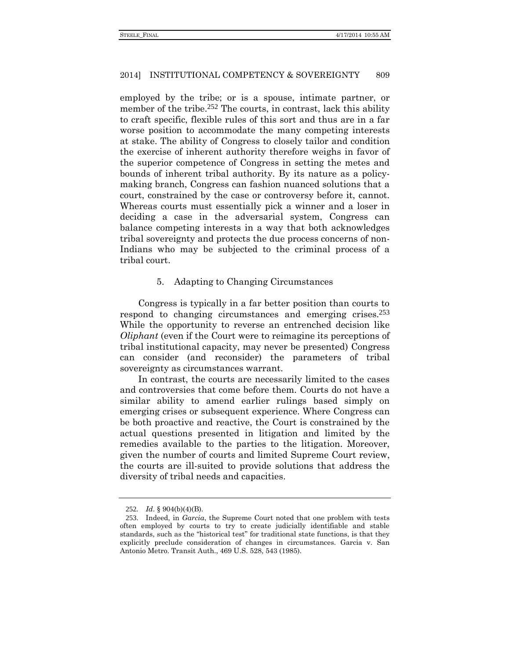employed by the tribe; or is a spouse, intimate partner, or member of the tribe.<sup>252</sup> The courts, in contrast, lack this ability to craft specific, flexible rules of this sort and thus are in a far worse position to accommodate the many competing interests at stake. The ability of Congress to closely tailor and condition the exercise of inherent authority therefore weighs in favor of the superior competence of Congress in setting the metes and bounds of inherent tribal authority. By its nature as a policymaking branch, Congress can fashion nuanced solutions that a court, constrained by the case or controversy before it, cannot. Whereas courts must essentially pick a winner and a loser in deciding a case in the adversarial system, Congress can balance competing interests in a way that both acknowledges tribal sovereignty and protects the due process concerns of non-Indians who may be subjected to the criminal process of a tribal court.

## 5. Adapting to Changing Circumstances

Congress is typically in a far better position than courts to respond to changing circumstances and emerging crises.253 While the opportunity to reverse an entrenched decision like *Oliphant* (even if the Court were to reimagine its perceptions of tribal institutional capacity, may never be presented) Congress can consider (and reconsider) the parameters of tribal sovereignty as circumstances warrant.

In contrast, the courts are necessarily limited to the cases and controversies that come before them. Courts do not have a similar ability to amend earlier rulings based simply on emerging crises or subsequent experience. Where Congress can be both proactive and reactive, the Court is constrained by the actual questions presented in litigation and limited by the remedies available to the parties to the litigation. Moreover, given the number of courts and limited Supreme Court review, the courts are ill-suited to provide solutions that address the diversity of tribal needs and capacities.

<sup>252</sup>*. Id*. § 904(b)(4)(B).

<sup>253</sup>. Indeed, in *Garcia*, the Supreme Court noted that one problem with tests often employed by courts to try to create judicially identifiable and stable standards, such as the "historical test" for traditional state functions, is that they explicitly preclude consideration of changes in circumstances. Garcia v. San Antonio Metro. Transit Auth., 469 U.S. 528, 543 (1985).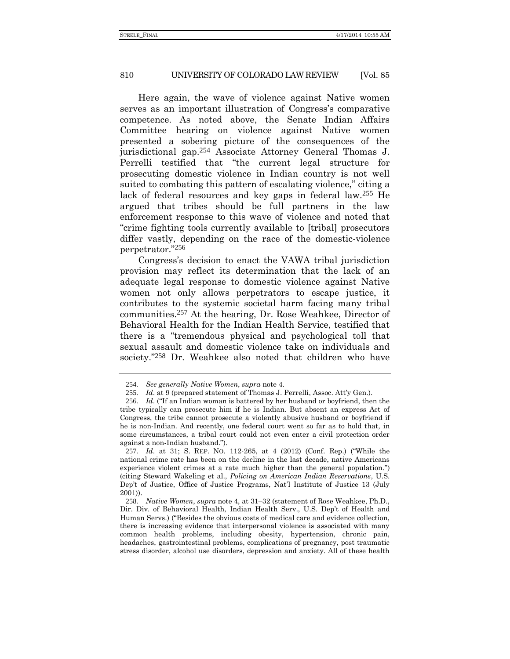Here again, the wave of violence against Native women serves as an important illustration of Congress's comparative competence. As noted above, the Senate Indian Affairs Committee hearing on violence against Native women presented a sobering picture of the consequences of the jurisdictional gap.254 Associate Attorney General Thomas J. Perrelli testified that "the current legal structure for prosecuting domestic violence in Indian country is not well suited to combating this pattern of escalating violence," citing a lack of federal resources and key gaps in federal law.255 He argued that tribes should be full partners in the law enforcement response to this wave of violence and noted that "crime fighting tools currently available to [tribal] prosecutors differ vastly, depending on the race of the domestic-violence perpetrator." 256

Congress's decision to enact the VAWA tribal jurisdiction provision may reflect its determination that the lack of an adequate legal response to domestic violence against Native women not only allows perpetrators to escape justice, it contributes to the systemic societal harm facing many tribal communities.257 At the hearing, Dr. Rose Weahkee, Director of Behavioral Health for the Indian Health Service, testified that there is a "tremendous physical and psychological toll that sexual assault and domestic violence take on individuals and society." 258 Dr. Weahkee also noted that children who have

<sup>254</sup>*. See generally Native Women*, *supra* not[e 4.](#page-1-1)

<sup>255</sup>*. Id*. at 9 (prepared statement of Thomas J. Perrelli, Assoc. Att'y Gen.).

<sup>256</sup>*. Id*. ("If an Indian woman is battered by her husband or boyfriend, then the tribe typically can prosecute him if he is Indian. But absent an express Act of Congress, the tribe cannot prosecute a violently abusive husband or boyfriend if he is non-Indian. And recently, one federal court went so far as to hold that, in some circumstances, a tribal court could not even enter a civil protection order against a non-Indian husband.").

<sup>257</sup>*. Id*. at 31; S. REP. NO. 112-265, at 4 (2012) (Conf. Rep.) ("While the national crime rate has been on the decline in the last decade, native Americans experience violent crimes at a rate much higher than the general population.") (citing Steward Wakeling et al., *Policing on American Indian Reservations*, U.S. Dep't of Justice, Office of Justice Programs, Nat'l Institute of Justice 13 (July 2001)).

<sup>258</sup>*. Native Women*, *supra* note [4,](#page-1-1) at 31–32 (statement of Rose Weahkee, Ph.D., Dir. Div. of Behavioral Health, Indian Health Serv., U.S. Dep't of Health and Human Servs.) ("Besides the obvious costs of medical care and evidence collection, there is increasing evidence that interpersonal violence is associated with many common health problems, including obesity, hypertension, chronic pain, headaches, gastrointestinal problems, complications of pregnancy, post traumatic stress disorder, alcohol use disorders, depression and anxiety. All of these health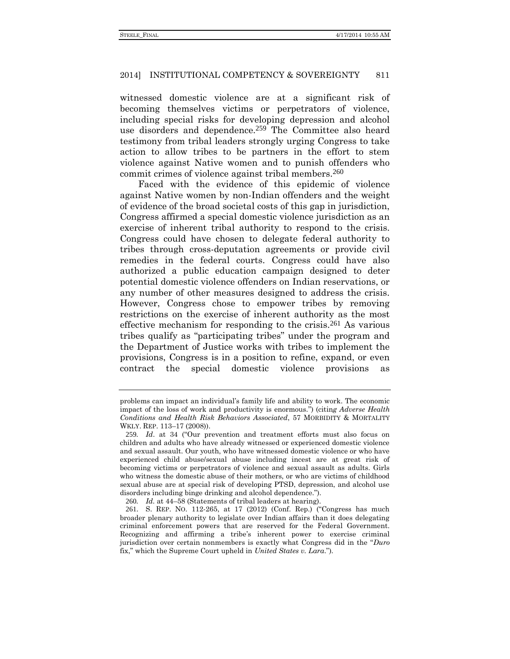witnessed domestic violence are at a significant risk of becoming themselves victims or perpetrators of violence, including special risks for developing depression and alcohol use disorders and dependence.259 The Committee also heard testimony from tribal leaders strongly urging Congress to take action to allow tribes to be partners in the effort to stem violence against Native women and to punish offenders who commit crimes of violence against tribal members.260

Faced with the evidence of this epidemic of violence against Native women by non-Indian offenders and the weight of evidence of the broad societal costs of this gap in jurisdiction, Congress affirmed a special domestic violence jurisdiction as an exercise of inherent tribal authority to respond to the crisis. Congress could have chosen to delegate federal authority to tribes through cross-deputation agreements or provide civil remedies in the federal courts. Congress could have also authorized a public education campaign designed to deter potential domestic violence offenders on Indian reservations, or any number of other measures designed to address the crisis. However, Congress chose to empower tribes by removing restrictions on the exercise of inherent authority as the most effective mechanism for responding to the crisis.261 As various tribes qualify as "participating tribes" under the program and the Department of Justice works with tribes to implement the provisions, Congress is in a position to refine, expand, or even contract the special domestic violence provisions as

problems can impact an individual's family life and ability to work. The economic impact of the loss of work and productivity is enormous.") (citin*g Adverse Health Conditions and Health Risk Behaviors Associated*, 57 MORBIDITY & MORTALITY WKLY. REP. 113–17 (2008)).

<sup>259</sup>*. Id*. at 34 ("Our prevention and treatment efforts must also focus on children and adults who have already witnessed or experienced domestic violence and sexual assault. Our youth, who have witnessed domestic violence or who have experienced child abuse/sexual abuse including incest are at great risk of becoming victims or perpetrators of violence and sexual assault as adults. Girls who witness the domestic abuse of their mothers, or who are victims of childhood sexual abuse are at special risk of developing PTSD, depression, and alcohol use disorders including binge drinking and alcohol dependence.").

<sup>260</sup>*. Id.* at 44–58 (Statements of tribal leaders at hearing).

<sup>261</sup>. S. REP. NO. 112-265, at 17 (2012) (Conf. Rep.) ("Congress has much broader plenary authority to legislate over Indian affairs than it does delegating criminal enforcement powers that are reserved for the Federal Government. Recognizing and affirming a tribe's inherent power to exercise criminal jurisdiction over certain nonmembers is exactly what Congress did in the "*Duro* fix," which the Supreme Court upheld in *United States v. Lara*.").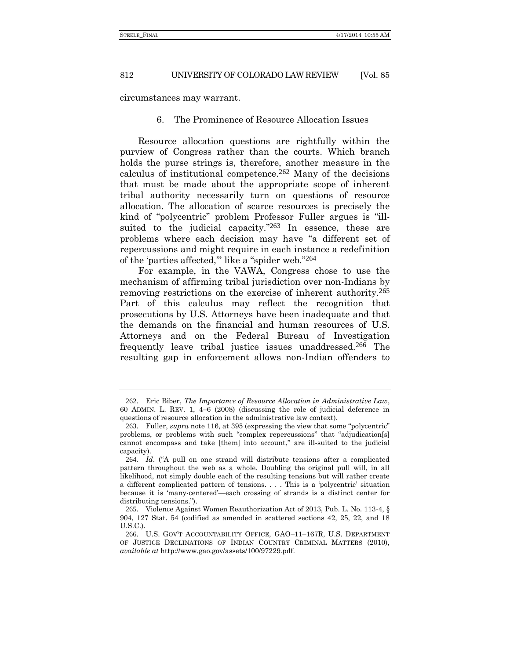circumstances may warrant.

## 6. The Prominence of Resource Allocation Issues

Resource allocation questions are rightfully within the purview of Congress rather than the courts. Which branch holds the purse strings is, therefore, another measure in the calculus of institutional competence.262 Many of the decisions that must be made about the appropriate scope of inherent tribal authority necessarily turn on questions of resource allocation. The allocation of scarce resources is precisely the kind of "polycentric" problem Professor Fuller argues is "illsuited to the judicial capacity."<sup>263</sup> In essence, these are problems where each decision may have "a different set of repercussions and might require in each instance a redefinition of the 'parties affected,'" like a "spider web." 264

For example, in the VAWA, Congress chose to use the mechanism of affirming tribal jurisdiction over non-Indians by removing restrictions on the exercise of inherent authority.265 Part of this calculus may reflect the recognition that prosecutions by U.S. Attorneys have been inadequate and that the demands on the financial and human resources of U.S. Attorneys and on the Federal Bureau of Investigation frequently leave tribal justice issues unaddressed.266 The resulting gap in enforcement allows non-Indian offenders to

<sup>262</sup>. Eric Biber, *The Importance of Resource Allocation in Administrative Law*, 60 ADMIN. L. REV. 1, 4–6 (2008) (discussing the role of judicial deference in questions of resource allocation in the administrative law context).

<sup>263</sup>. Fuller, *supra* note [116,](#page-24-0) at 395 (expressing the view that some "polycentric" problems, or problems with such "complex repercussions" that "adjudication[s] cannot encompass and take [them] into account," are ill-suited to the judicial capacity).

<sup>264</sup>*. Id*. ("A pull on one strand will distribute tensions after a complicated pattern throughout the web as a whole. Doubling the original pull will, in all likelihood, not simply double each of the resulting tensions but will rather create a different complicated pattern of tensions. . . . This is a 'polycentric' situation because it is 'many-centered'—each crossing of strands is a distinct center for distributing tensions.").

<sup>265</sup>. Violence Against Women Reauthorization Act of 2013, Pub. L. No. 113-4, § 904, 127 Stat. 54 (codified as amended in scattered sections 42, 25, 22, and 18 U.S.C.).

<sup>266</sup>. U.S. GOV'T ACCOUNTABILITY OFFICE, GAO–11–167R, U.S. DEPARTMENT OF JUSTICE DECLINATIONS OF INDIAN COUNTRY CRIMINAL MATTERS (2010), *available at* http://www.gao.gov/assets/100/97229.pdf.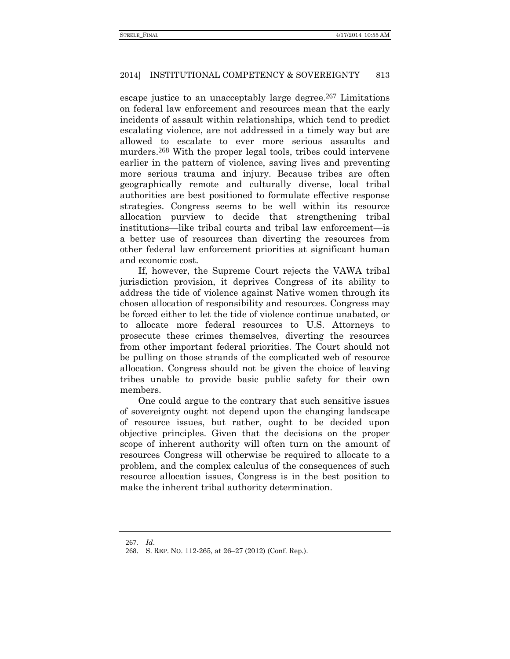escape justice to an unacceptably large degree.<sup>267</sup> Limitations on federal law enforcement and resources mean that the early incidents of assault within relationships, which tend to predict escalating violence, are not addressed in a timely way but are allowed to escalate to ever more serious assaults and murders.<sup>268</sup> With the proper legal tools, tribes could intervene earlier in the pattern of violence, saving lives and preventing more serious trauma and injury. Because tribes are often geographically remote and culturally diverse, local tribal authorities are best positioned to formulate effective response strategies. Congress seems to be well within its resource allocation purview to decide that strengthening tribal institutions—like tribal courts and tribal law enforcement—is a better use of resources than diverting the resources from other federal law enforcement priorities at significant human and economic cost.

If, however, the Supreme Court rejects the VAWA tribal jurisdiction provision, it deprives Congress of its ability to address the tide of violence against Native women through its chosen allocation of responsibility and resources. Congress may be forced either to let the tide of violence continue unabated, or to allocate more federal resources to U.S. Attorneys to prosecute these crimes themselves, diverting the resources from other important federal priorities. The Court should not be pulling on those strands of the complicated web of resource allocation. Congress should not be given the choice of leaving tribes unable to provide basic public safety for their own members.

One could argue to the contrary that such sensitive issues of sovereignty ought not depend upon the changing landscape of resource issues, but rather, ought to be decided upon objective principles. Given that the decisions on the proper scope of inherent authority will often turn on the amount of resources Congress will otherwise be required to allocate to a problem, and the complex calculus of the consequences of such resource allocation issues, Congress is in the best position to make the inherent tribal authority determination.

<sup>267</sup>*. Id*.

<sup>268</sup>. S. REP. NO. 112-265, at 26–27 (2012) (Conf. Rep.).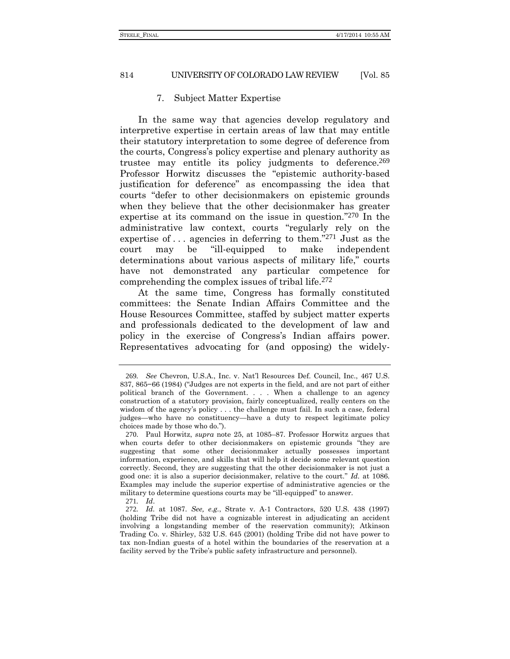#### 7. Subject Matter Expertise

In the same way that agencies develop regulatory and interpretive expertise in certain areas of law that may entitle their statutory interpretation to some degree of deference from the courts, Congress's policy expertise and plenary authority as trustee may entitle its policy judgments to deference.269 Professor Horwitz discusses the "epistemic authority-based justification for deference" as encompassing the idea that courts "defer to other decisionmakers on epistemic grounds when they believe that the other decisionmaker has greater expertise at its command on the issue in question." 270 In the administrative law context, courts "regularly rely on the expertise of  $\ldots$  agencies in deferring to them.<sup>"271</sup> Just as the court may be "ill-equipped to make independent determinations about various aspects of military life," courts have not demonstrated any particular competence for comprehending the complex issues of tribal life.272

At the same time, Congress has formally constituted committees: the Senate Indian Affairs Committee and the House Resources Committee, staffed by subject matter experts and professionals dedicated to the development of law and policy in the exercise of Congress's Indian affairs power. Representatives advocating for (and opposing) the widely-

<sup>269</sup>*. See* Chevron, U.S.A., Inc. v. Nat'l Resources Def. Council, Inc., 467 U.S. 837, 865−66 (1984) ("Judges are not experts in the field, and are not part of either political branch of the Government. . . . When a challenge to an agency construction of a statutory provision, fairly conceptualized, really centers on the wisdom of the agency's policy . . . the challenge must fail. In such a case, federal judges—who have no constituency—have a duty to respect legitimate policy choices made by those who do.").

<sup>270</sup>. Paul Horwitz, *supra* note [25,](#page-5-1) at 1085–87. Professor Horwitz argues that when courts defer to other decisionmakers on epistemic grounds "they are suggesting that some other decisionmaker actually possesses important information, experience, and skills that will help it decide some relevant question correctly. Second, they are suggesting that the other decisionmaker is not just a good one: it is also a superior decisionmaker, relative to the court." *Id.* at 1086. Examples may include the superior expertise of administrative agencies or the military to determine questions courts may be "ill-equipped" to answer.

<sup>271</sup>*. Id*.

<sup>272</sup>*. Id.* at 1087. *See, e.g.*, Strate v. A-1 Contractors, 520 U.S. 438 (1997) (holding Tribe did not have a cognizable interest in adjudicating an accident involving a longstanding member of the reservation community); Atkinson Trading Co. v. Shirley, 532 U.S. 645 (2001) (holding Tribe did not have power to tax non-Indian guests of a hotel within the boundaries of the reservation at a facility served by the Tribe's public safety infrastructure and personnel).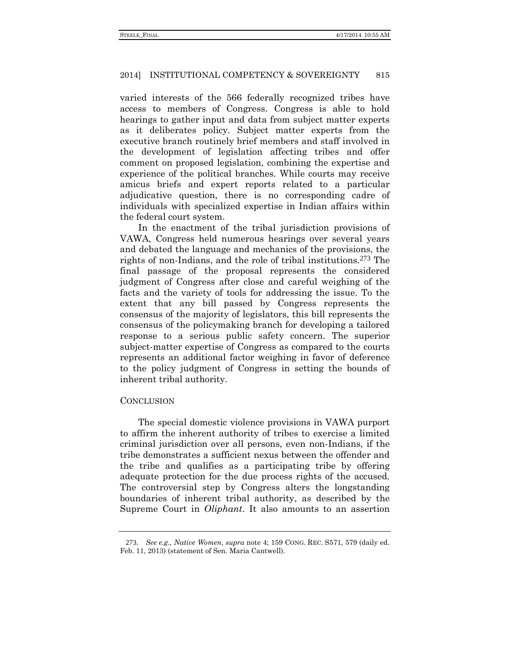varied interests of the 566 federally recognized tribes have access to members of Congress. Congress is able to hold hearings to gather input and data from subject matter experts as it deliberates policy. Subject matter experts from the executive branch routinely brief members and staff involved in the development of legislation affecting tribes and offer comment on proposed legislation, combining the expertise and experience of the political branches. While courts may receive amicus briefs and expert reports related to a particular adjudicative question, there is no corresponding cadre of individuals with specialized expertise in Indian affairs within the federal court system.

In the enactment of the tribal jurisdiction provisions of VAWA, Congress held numerous hearings over several years and debated the language and mechanics of the provisions, the rights of non-Indians, and the role of tribal institutions.273 The final passage of the proposal represents the considered judgment of Congress after close and careful weighing of the facts and the variety of tools for addressing the issue. To the extent that any bill passed by Congress represents the consensus of the majority of legislators, this bill represents the consensus of the policymaking branch for developing a tailored response to a serious public safety concern. The superior subject-matter expertise of Congress as compared to the courts represents an additional factor weighing in favor of deference to the policy judgment of Congress in setting the bounds of inherent tribal authority.

## **CONCLUSION**

The special domestic violence provisions in VAWA purport to affirm the inherent authority of tribes to exercise a limited criminal jurisdiction over all persons, even non-Indians, if the tribe demonstrates a sufficient nexus between the offender and the tribe and qualifies as a participating tribe by offering adequate protection for the due process rights of the accused. The controversial step by Congress alters the longstanding boundaries of inherent tribal authority, as described by the Supreme Court in *Oliphant*. It also amounts to an assertion

<sup>273</sup>*. See e.g., Native Women*, *supra* not[e 4;](#page-1-1) 159 CONG. REC. S571, 579 (daily ed. Feb. 11, 2013) (statement of Sen. Maria Cantwell).